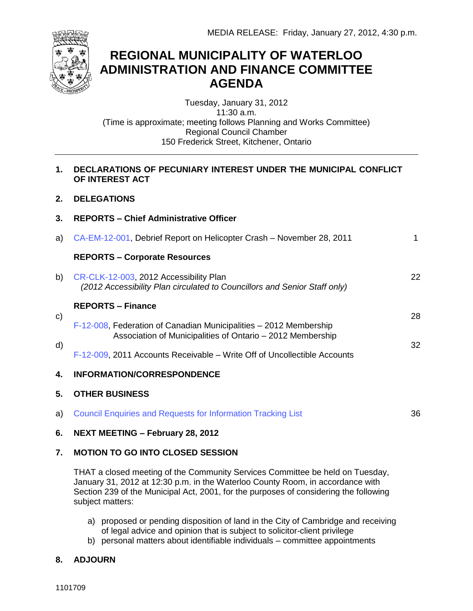

# **REGIONAL MUNICIPALITY OF WATERLOO ADMINISTRATION AND FINANCE COMMITTEE AGENDA**

Tuesday, January 31, 2012 11:30 a.m. (Time is approximate; meeting follows Planning and Works Committee) Regional Council Chamber 150 Frederick Street, Kitchener, Ontario

### **1. DECLARATIONS OF PECUNIARY INTEREST UNDER THE MUNICIPAL CONFLICT OF INTEREST ACT**

- **2. DELEGATIONS**
- **3. REPORTS – Chief Administrative Officer**
- a) [CA-EM-12-001](#page-1-0), Debrief Report on Helicopter Crash November 28, 2011 b) [CR-CLK-12-003,](#page-22-0) 2012 Accessibility Plan c) **REPORTS – Corporate Resources** *(2012 Accessibility Plan circulated to Councillors and Senior Staff only)* **REPORTS – Finance** [F-12-008,](#page-28-0) Federation of Canadian Municipalities – 2012 Membership 1 22 28
- d) Association of Municipalities of Ontario – 2012 Membership
	- [F-12-009,](#page-32-0) 2011 Accounts Receivable Write Off of Uncollectible Accounts

## **4. INFORMATION/CORRESPONDENCE**

## **5. OTHER BUSINESS**

a) [Council Enquiries and Requests for Information Tracking List](#page-36-0) 36

32

**6. NEXT MEETING – February 28, 2012**

## **7. MOTION TO GO INTO CLOSED SESSION**

THAT a closed meeting of the Community Services Committee be held on Tuesday, January 31, 2012 at 12:30 p.m. in the Waterloo County Room, in accordance with Section 239 of the Municipal Act, 2001, for the purposes of considering the following subject matters:

- a) proposed or pending disposition of land in the City of Cambridge and receiving of legal advice and opinion that is subject to solicitor-client privilege
- b) personal matters about identifiable individuals committee appointments

## **8. ADJOURN**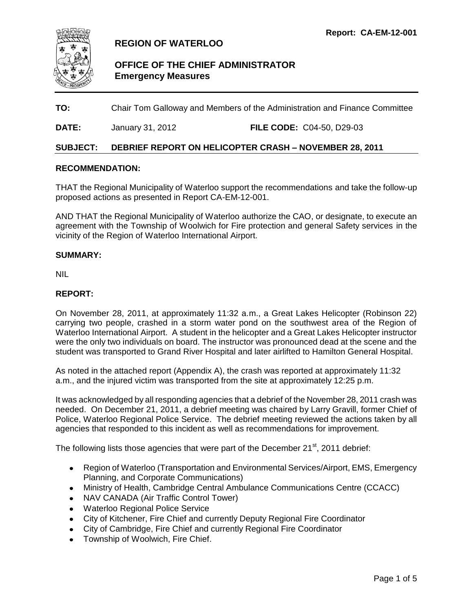<span id="page-1-0"></span>

## **REGION OF WATERLOO**

## **OFFICE OF THE CHIEF ADMINISTRATOR Emergency Measures**

**TO:** Chair Tom Galloway and Members of the Administration and Finance Committee

**DATE:** January 31, 2012 **FILE CODE:** C04-50, D29-03

#### **SUBJECT: DEBRIEF REPORT ON HELICOPTER CRASH – NOVEMBER 28, 2011**

#### **RECOMMENDATION:**

THAT the Regional Municipality of Waterloo support the recommendations and take the follow-up proposed actions as presented in Report CA-EM-12-001.

AND THAT the Regional Municipality of Waterloo authorize the CAO, or designate, to execute an agreement with the Township of Woolwich for Fire protection and general Safety services in the vicinity of the Region of Waterloo International Airport.

#### **SUMMARY:**

NIL

#### **REPORT:**

On November 28, 2011, at approximately 11:32 a.m., a Great Lakes Helicopter (Robinson 22) carrying two people, crashed in a storm water pond on the southwest area of the Region of Waterloo International Airport. A student in the helicopter and a Great Lakes Helicopter instructor were the only two individuals on board. The instructor was pronounced dead at the scene and the student was transported to Grand River Hospital and later airlifted to Hamilton General Hospital.

As noted in the attached report (Appendix A), the crash was reported at approximately 11:32 a.m., and the injured victim was transported from the site at approximately 12:25 p.m.

It was acknowledged by all responding agencies that a debrief of the November 28, 2011 crash was needed. On December 21, 2011, a debrief meeting was chaired by Larry Gravill, former Chief of Police, Waterloo Regional Police Service. The debrief meeting reviewed the actions taken by all agencies that responded to this incident as well as recommendations for improvement.

The following lists those agencies that were part of the December  $21<sup>st</sup>$ , 2011 debrief:

- Region of Waterloo (Transportation and Environmental Services/Airport, EMS, Emergency Planning, and Corporate Communications)
- Ministry of Health, Cambridge Central Ambulance Communications Centre (CCACC)
- NAV CANADA (Air Traffic Control Tower)
- Waterloo Regional Police Service
- City of Kitchener, Fire Chief and currently Deputy Regional Fire Coordinator
- City of Cambridge, Fire Chief and currently Regional Fire Coordinator
- Township of Woolwich, Fire Chief.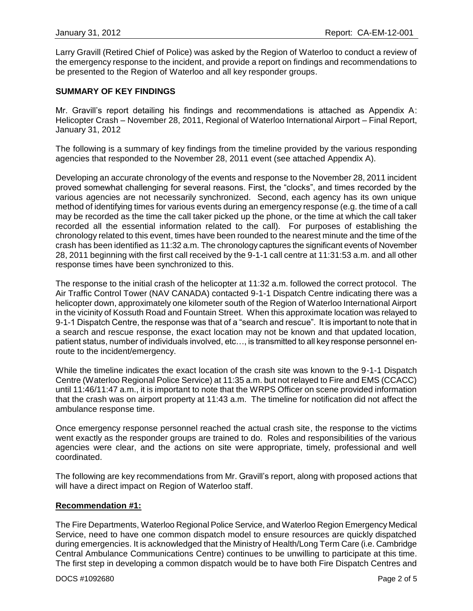Larry Gravill (Retired Chief of Police) was asked by the Region of Waterloo to conduct a review of the emergency response to the incident, and provide a report on findings and recommendations to be presented to the Region of Waterloo and all key responder groups.

#### **SUMMARY OF KEY FINDINGS**

Mr. Gravill's report detailing his findings and recommendations is attached as Appendix A: Helicopter Crash – November 28, 2011, Regional of Waterloo International Airport – Final Report, January 31, 2012

The following is a summary of key findings from the timeline provided by the various responding agencies that responded to the November 28, 2011 event (see attached Appendix A).

Developing an accurate chronology of the events and response to the November 28, 2011 incident proved somewhat challenging for several reasons. First, the "clocks", and times recorded by the various agencies are not necessarily synchronized. Second, each agency has its own unique method of identifying times for various events during an emergency response (e.g. the time of a call may be recorded as the time the call taker picked up the phone, or the time at which the call taker recorded all the essential information related to the call). For purposes of establishing the chronology related to this event, times have been rounded to the nearest minute and the time of the crash has been identified as 11:32 a.m. The chronology captures the significant events of November 28, 2011 beginning with the first call received by the 9-1-1 call centre at 11:31:53 a.m. and all other response times have been synchronized to this.

The response to the initial crash of the helicopter at 11:32 a.m. followed the correct protocol. The Air Traffic Control Tower (NAV CANADA) contacted 9-1-1 Dispatch Centre indicating there was a helicopter down, approximately one kilometer south of the Region of Waterloo International Airport in the vicinity of Kossuth Road and Fountain Street. When this approximate location was relayed to 9-1-1 Dispatch Centre, the response was that of a "search and rescue". It is important to note that in a search and rescue response, the exact location may not be known and that updated location, patient status, number of individuals involved, etc…, is transmitted to all key response personnel enroute to the incident/emergency.

While the timeline indicates the exact location of the crash site was known to the 9-1-1 Dispatch Centre (Waterloo Regional Police Service) at 11:35 a.m. but not relayed to Fire and EMS (CCACC) until 11:46/11:47 a.m., it is important to note that the WRPS Officer on scene provided information that the crash was on airport property at 11:43 a.m. The timeline for notification did not affect the ambulance response time.

Once emergency response personnel reached the actual crash site, the response to the victims went exactly as the responder groups are trained to do. Roles and responsibilities of the various agencies were clear, and the actions on site were appropriate, timely, professional and well coordinated.

The following are key recommendations from Mr. Gravill's report, along with proposed actions that will have a direct impact on Region of Waterloo staff.

#### **Recommendation #1:**

The Fire Departments, Waterloo Regional Police Service, and Waterloo Region Emergency Medical Service, need to have one common dispatch model to ensure resources are quickly dispatched during emergencies. It is acknowledged that the Ministry of Health/Long Term Care (i.e. Cambridge Central Ambulance Communications Centre) continues to be unwilling to participate at this time. The first step in developing a common dispatch would be to have both Fire Dispatch Centres and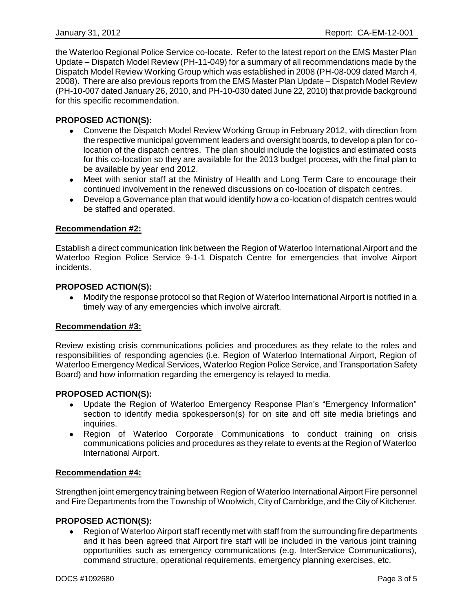the Waterloo Regional Police Service co-locate. Refer to the latest report on the EMS Master Plan Update – Dispatch Model Review (PH-11-049) for a summary of all recommendations made by the Dispatch Model Review Working Group which was established in 2008 (PH-08-009 dated March 4, 2008). There are also previous reports from the EMS Master Plan Update – Dispatch Model Review (PH-10-007 dated January 26, 2010, and PH-10-030 dated June 22, 2010) that provide background for this specific recommendation.

#### **PROPOSED ACTION(S):**

- Convene the Dispatch Model Review Working Group in February 2012, with direction from the respective municipal government leaders and oversight boards, to develop a plan for colocation of the dispatch centres. The plan should include the logistics and estimated costs for this co-location so they are available for the 2013 budget process, with the final plan to be available by year end 2012.
- Meet with senior staff at the Ministry of Health and Long Term Care to encourage their continued involvement in the renewed discussions on co-location of dispatch centres.
- Develop a Governance plan that would identify how a co-location of dispatch centres would be staffed and operated.

#### **Recommendation #2:**

Establish a direct communication link between the Region of Waterloo International Airport and the Waterloo Region Police Service 9-1-1 Dispatch Centre for emergencies that involve Airport incidents.

#### **PROPOSED ACTION(S):**

Modify the response protocol so that Region of Waterloo International Airport is notified in a timely way of any emergencies which involve aircraft.

#### **Recommendation #3:**

Review existing crisis communications policies and procedures as they relate to the roles and responsibilities of responding agencies (i.e. Region of Waterloo International Airport, Region of Waterloo Emergency Medical Services, Waterloo Region Police Service, and Transportation Safety Board) and how information regarding the emergency is relayed to media.

#### **PROPOSED ACTION(S):**

- Update the Region of Waterloo Emergency Response Plan's "Emergency Information" section to identify media spokesperson(s) for on site and off site media briefings and inquiries.
- Region of Waterloo Corporate Communications to conduct training on crisis communications policies and procedures as they relate to events at the Region of Waterloo International Airport.

#### **Recommendation #4:**

Strengthen joint emergency training between Region of Waterloo International Airport Fire personnel and Fire Departments from the Township of Woolwich, City of Cambridge, and the City of Kitchener.

#### **PROPOSED ACTION(S):**

Region of Waterloo Airport staff recently met with staff from the surrounding fire departments and it has been agreed that Airport fire staff will be included in the various joint training opportunities such as emergency communications (e.g. InterService Communications), command structure, operational requirements, emergency planning exercises, etc.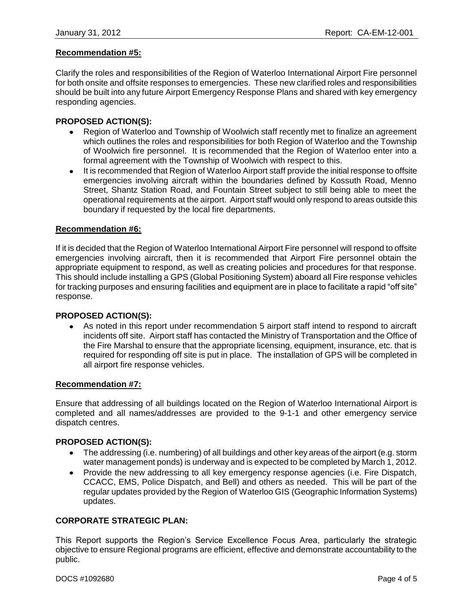#### **Recommendation #5:**

Clarify the roles and responsibilities of the Region of Waterloo International Airport Fire personnel for both onsite and offsite responses to emergencies. These new clarified roles and responsibilities should be built into any future Airport Emergency Response Plans and shared with key emergency responding agencies.

#### **PROPOSED ACTION(S):**

- Region of Waterloo and Township of Woolwich staff recently met to finalize an agreement which outlines the roles and responsibilities for both Region of Waterloo and the Township of Woolwich fire personnel. It is recommended that the Region of Waterloo enter into a formal agreement with the Township of Woolwich with respect to this.
- It is recommended that Region of Waterloo Airport staff provide the initial response to offsite emergencies involving aircraft within the boundaries defined by Kossuth Road, Menno Street, Shantz Station Road, and Fountain Street subject to still being able to meet the operational requirements at the airport. Airport staff would only respond to areas outside this boundary if requested by the local fire departments.

#### **Recommendation #6:**

If it is decided that the Region of Waterloo International Airport Fire personnel will respond to offsite emergencies involving aircraft, then it is recommended that Airport Fire personnel obtain the appropriate equipment to respond, as well as creating policies and procedures for that response. This should include installing a GPS (Global Positioning System) aboard all Fire response vehicles for tracking purposes and ensuring facilities and equipment are in place to facilitate a rapid "off site" response.

#### **PROPOSED ACTION(S):**

As noted in this report under recommendation 5 airport staff intend to respond to aircraft incidents off site. Airport staff has contacted the Ministry of Transportation and the Office of the Fire Marshal to ensure that the appropriate licensing, equipment, insurance, etc. that is required for responding off site is put in place. The installation of GPS will be completed in all airport fire response vehicles.

#### **Recommendation #7:**

Ensure that addressing of all buildings located on the Region of Waterloo International Airport is completed and all names/addresses are provided to the 9-1-1 and other emergency service dispatch centres.

#### **PROPOSED ACTION(S):**

- The addressing (i.e. numbering) of all buildings and other key areas of the airport (e.g. storm water management ponds) is underway and is expected to be completed by March 1, 2012.
- Provide the new addressing to all key emergency response agencies (i.e. Fire Dispatch,  $\bullet$ CCACC, EMS, Police Dispatch, and Bell) and others as needed. This will be part of the regular updates provided by the Region of Waterloo GIS (Geographic Information Systems) updates.

#### **CORPORATE STRATEGIC PLAN:**

This Report supports the Region's Service Excellence Focus Area, particularly the strategic objective to ensure Regional programs are efficient, effective and demonstrate accountability to the public.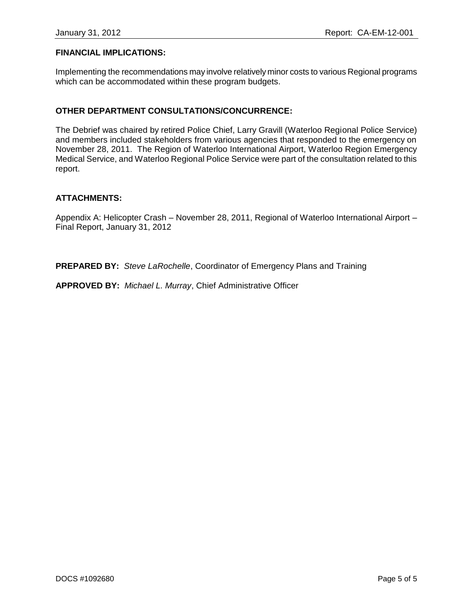#### **FINANCIAL IMPLICATIONS:**

Implementing the recommendations may involve relatively minor costs to various Regional programs which can be accommodated within these program budgets.

#### **OTHER DEPARTMENT CONSULTATIONS/CONCURRENCE:**

The Debrief was chaired by retired Police Chief, Larry Gravill (Waterloo Regional Police Service) and members included stakeholders from various agencies that responded to the emergency on November 28, 2011. The Region of Waterloo International Airport, Waterloo Region Emergency Medical Service, and Waterloo Regional Police Service were part of the consultation related to this report.

#### **ATTACHMENTS:**

Appendix A: Helicopter Crash – November 28, 2011, Regional of Waterloo International Airport – Final Report, January 31, 2012

**PREPARED BY:** *Steve LaRochelle*, Coordinator of Emergency Plans and Training

**APPROVED BY:** *Michael L. Murray*, Chief Administrative Officer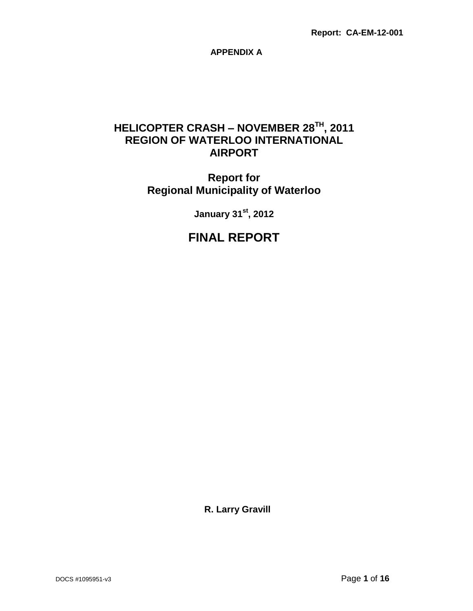**APPENDIX A**

## **HELICOPTER CRASH – NOVEMBER 28TH, 2011 REGION OF WATERLOO INTERNATIONAL AIRPORT**

## **Report for Regional Municipality of Waterloo**

**January 31st, 2012**

## **FINAL REPORT**

**R. Larry Gravill**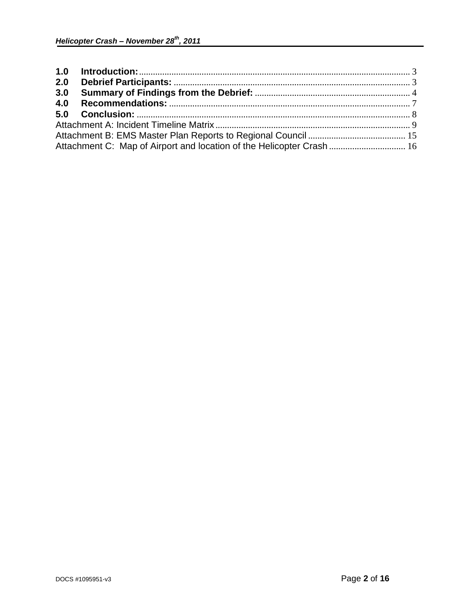| 2.0 |                                                                       |  |
|-----|-----------------------------------------------------------------------|--|
| 3.0 |                                                                       |  |
| 4.0 |                                                                       |  |
|     |                                                                       |  |
|     |                                                                       |  |
|     |                                                                       |  |
|     | Attachment C: Map of Airport and location of the Helicopter Crash  16 |  |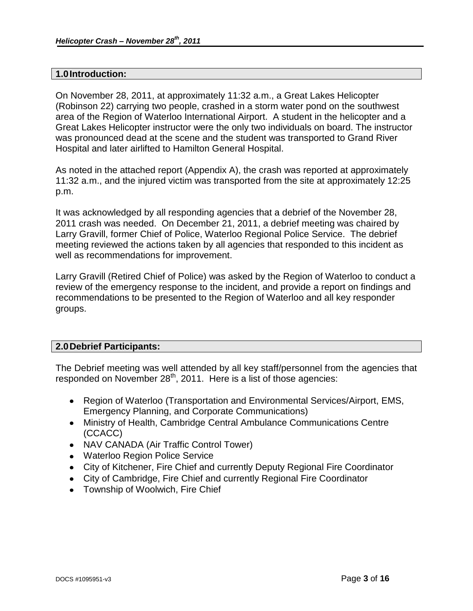#### <span id="page-8-0"></span>**1.0Introduction:**

On November 28, 2011, at approximately 11:32 a.m., a Great Lakes Helicopter (Robinson 22) carrying two people, crashed in a storm water pond on the southwest area of the Region of Waterloo International Airport. A student in the helicopter and a Great Lakes Helicopter instructor were the only two individuals on board. The instructor was pronounced dead at the scene and the student was transported to Grand River Hospital and later airlifted to Hamilton General Hospital.

As noted in the attached report (Appendix A), the crash was reported at approximately 11:32 a.m., and the injured victim was transported from the site at approximately 12:25 p.m.

It was acknowledged by all responding agencies that a debrief of the November 28, 2011 crash was needed. On December 21, 2011, a debrief meeting was chaired by Larry Gravill, former Chief of Police, Waterloo Regional Police Service. The debrief meeting reviewed the actions taken by all agencies that responded to this incident as well as recommendations for improvement.

Larry Gravill (Retired Chief of Police) was asked by the Region of Waterloo to conduct a review of the emergency response to the incident, and provide a report on findings and recommendations to be presented to the Region of Waterloo and all key responder groups.

#### <span id="page-8-1"></span>**2.0Debrief Participants:**

The Debrief meeting was well attended by all key staff/personnel from the agencies that responded on November  $28<sup>th</sup>$ , 2011. Here is a list of those agencies:

- Region of Waterloo (Transportation and Environmental Services/Airport, EMS, Emergency Planning, and Corporate Communications)
- Ministry of Health, Cambridge Central Ambulance Communications Centre (CCACC)
- NAV CANADA (Air Traffic Control Tower)
- Waterloo Region Police Service
- City of Kitchener, Fire Chief and currently Deputy Regional Fire Coordinator
- City of Cambridge, Fire Chief and currently Regional Fire Coordinator
- Township of Woolwich, Fire Chief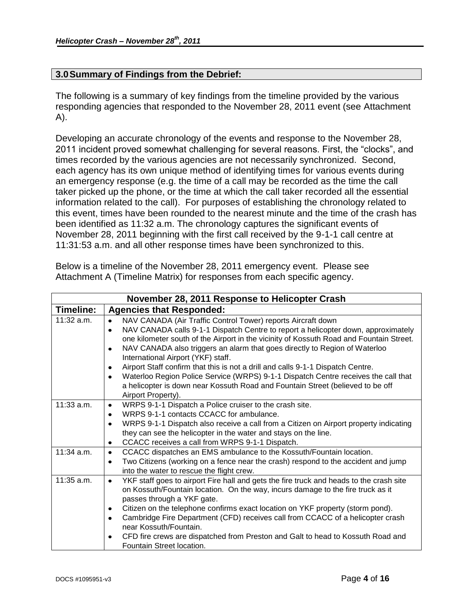## <span id="page-9-0"></span>**3.0Summary of Findings from the Debrief:**

The following is a summary of key findings from the timeline provided by the various responding agencies that responded to the November 28, 2011 event (see Attachment A).

Developing an accurate chronology of the events and response to the November 28, 2011 incident proved somewhat challenging for several reasons. First, the "clocks", and times recorded by the various agencies are not necessarily synchronized. Second, each agency has its own unique method of identifying times for various events during an emergency response (e.g. the time of a call may be recorded as the time the call taker picked up the phone, or the time at which the call taker recorded all the essential information related to the call). For purposes of establishing the chronology related to this event, times have been rounded to the nearest minute and the time of the crash has been identified as 11:32 a.m. The chronology captures the significant events of November 28, 2011 beginning with the first call received by the 9-1-1 call centre at 11:31:53 a.m. and all other response times have been synchronized to this.

|              | November 28, 2011 Response to Helicopter Crash                                                       |
|--------------|------------------------------------------------------------------------------------------------------|
| Timeline:    | <b>Agencies that Responded:</b>                                                                      |
| 11:32 a.m.   | NAV CANADA (Air Traffic Control Tower) reports Aircraft down                                         |
|              | NAV CANADA calls 9-1-1 Dispatch Centre to report a helicopter down, approximately<br>$\bullet$       |
|              | one kilometer south of the Airport in the vicinity of Kossuth Road and Fountain Street.              |
|              | NAV CANADA also triggers an alarm that goes directly to Region of Waterloo<br>٠                      |
|              | International Airport (YKF) staff.                                                                   |
|              | Airport Staff confirm that this is not a drill and calls 9-1-1 Dispatch Centre.<br>$\bullet$         |
|              | Waterloo Region Police Service (WRPS) 9-1-1 Dispatch Centre receives the call that<br>$\bullet$      |
|              | a helicopter is down near Kossuth Road and Fountain Street (believed to be off                       |
|              | Airport Property).                                                                                   |
| $11:33$ a.m. | WRPS 9-1-1 Dispatch a Police cruiser to the crash site.<br>$\bullet$                                 |
|              | WRPS 9-1-1 contacts CCACC for ambulance.<br>$\bullet$                                                |
|              | WRPS 9-1-1 Dispatch also receive a call from a Citizen on Airport property indicating<br>$\bullet$   |
|              | they can see the helicopter in the water and stays on the line.                                      |
|              | CCACC receives a call from WRPS 9-1-1 Dispatch.<br>٠                                                 |
| 11:34 a.m.   | CCACC dispatches an EMS ambulance to the Kossuth/Fountain location.<br>$\bullet$                     |
|              | Two Citizens (working on a fence near the crash) respond to the accident and jump<br>٠               |
|              | into the water to rescue the flight crew.                                                            |
| $11:35$ a.m. | YKF staff goes to airport Fire hall and gets the fire truck and heads to the crash site<br>$\bullet$ |
|              | on Kossuth/Fountain location. On the way, incurs damage to the fire truck as it                      |
|              | passes through a YKF gate.                                                                           |
|              | Citizen on the telephone confirms exact location on YKF property (storm pond).<br>٠                  |
|              | Cambridge Fire Department (CFD) receives call from CCACC of a helicopter crash<br>$\bullet$          |
|              | near Kossuth/Fountain.                                                                               |
|              | CFD fire crews are dispatched from Preston and Galt to head to Kossuth Road and<br>$\bullet$         |
|              | Fountain Street location.                                                                            |

Below is a timeline of the November 28, 2011 emergency event. Please see Attachment A (Timeline Matrix) for responses from each specific agency.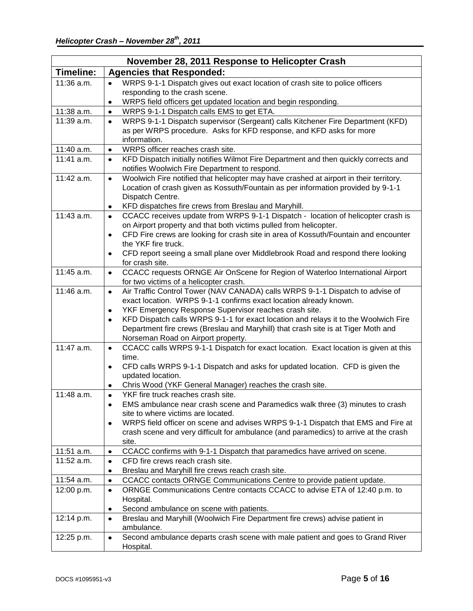|                  | November 28, 2011 Response to Helicopter Crash                                                                                                                     |
|------------------|--------------------------------------------------------------------------------------------------------------------------------------------------------------------|
| <b>Timeline:</b> | <b>Agencies that Responded:</b>                                                                                                                                    |
| 11:36 a.m.       | WRPS 9-1-1 Dispatch gives out exact location of crash site to police officers<br>$\bullet$                                                                         |
|                  | responding to the crash scene.                                                                                                                                     |
|                  | WRPS field officers get updated location and begin responding.<br>$\bullet$                                                                                        |
| 11:38 a.m.       | WRPS 9-1-1 Dispatch calls EMS to get ETA.<br>$\bullet$                                                                                                             |
| 11:39 a.m.       | WRPS 9-1-1 Dispatch supervisor (Sergeant) calls Kitchener Fire Department (KFD)<br>$\bullet$                                                                       |
|                  | as per WRPS procedure. Asks for KFD response, and KFD asks for more                                                                                                |
|                  | information.                                                                                                                                                       |
| 11:40 a.m.       | WRPS officer reaches crash site.<br>$\bullet$                                                                                                                      |
| 11:41 a.m.       | KFD Dispatch initially notifies Wilmot Fire Department and then quickly corrects and<br>$\bullet$                                                                  |
|                  | notifies Woolwich Fire Department to respond.                                                                                                                      |
| 11:42 a.m.       | Woolwich Fire notified that helicopter may have crashed at airport in their territory.<br>$\bullet$                                                                |
|                  | Location of crash given as Kossuth/Fountain as per information provided by 9-1-1                                                                                   |
|                  | Dispatch Centre.                                                                                                                                                   |
| 11:43 a.m.       | KFD dispatches fire crews from Breslau and Maryhill.<br>٠                                                                                                          |
|                  | CCACC receives update from WRPS 9-1-1 Dispatch - location of helicopter crash is<br>$\bullet$<br>on Airport property and that both victims pulled from helicopter. |
|                  | CFD Fire crews are looking for crash site in area of Kossuth/Fountain and encounter<br>$\bullet$                                                                   |
|                  | the YKF fire truck.                                                                                                                                                |
|                  | CFD report seeing a small plane over Middlebrook Road and respond there looking<br>$\bullet$                                                                       |
|                  | for crash site.                                                                                                                                                    |
| 11:45 a.m.       | CCACC requests ORNGE Air OnScene for Region of Waterloo International Airport<br>$\bullet$                                                                         |
|                  | for two victims of a helicopter crash.                                                                                                                             |
| 11:46 a.m.       | Air Traffic Control Tower (NAV CANADA) calls WRPS 9-1-1 Dispatch to advise of<br>$\bullet$                                                                         |
|                  | exact location. WRPS 9-1-1 confirms exact location already known.                                                                                                  |
|                  | YKF Emergency Response Supervisor reaches crash site.<br>$\bullet$                                                                                                 |
|                  | KFD Dispatch calls WRPS 9-1-1 for exact location and relays it to the Woolwich Fire<br>$\bullet$                                                                   |
|                  | Department fire crews (Breslau and Maryhill) that crash site is at Tiger Moth and                                                                                  |
|                  | Norseman Road on Airport property.                                                                                                                                 |
| 11:47 a.m.       | CCACC calls WRPS 9-1-1 Dispatch for exact location. Exact location is given at this<br>$\bullet$                                                                   |
|                  | time.                                                                                                                                                              |
|                  | CFD calls WRPS 9-1-1 Dispatch and asks for updated location. CFD is given the<br>$\bullet$                                                                         |
|                  | updated location.                                                                                                                                                  |
| 11:48 a.m.       | Chris Wood (YKF General Manager) reaches the crash site.<br>$\bullet$<br>YKF fire truck reaches crash site.                                                        |
|                  | $\bullet$<br>EMS ambulance near crash scene and Paramedics walk three (3) minutes to crash<br>٠                                                                    |
|                  | site to where victims are located.                                                                                                                                 |
|                  | WRPS field officer on scene and advises WRPS 9-1-1 Dispatch that EMS and Fire at<br>$\bullet$                                                                      |
|                  | crash scene and very difficult for ambulance (and paramedics) to arrive at the crash                                                                               |
|                  | site.                                                                                                                                                              |
| 11:51 a.m.       | CCACC confirms with 9-1-1 Dispatch that paramedics have arrived on scene.<br>$\bullet$                                                                             |
| $11:52$ a.m.     | CFD fire crews reach crash site.<br>$\bullet$                                                                                                                      |
|                  | Breslau and Maryhill fire crews reach crash site.                                                                                                                  |
| 11:54 a.m.       | CCACC contacts ORNGE Communications Centre to provide patient update.<br>$\bullet$                                                                                 |
| 12:00 p.m.       | ORNGE Communications Centre contacts CCACC to advise ETA of 12:40 p.m. to<br>$\bullet$                                                                             |
|                  | Hospital.                                                                                                                                                          |
|                  | Second ambulance on scene with patients.<br>٠                                                                                                                      |
| 12:14 p.m.       | Breslau and Maryhill (Woolwich Fire Department fire crews) advise patient in<br>$\bullet$                                                                          |
|                  | ambulance.                                                                                                                                                         |
| 12:25 p.m.       | Second ambulance departs crash scene with male patient and goes to Grand River<br>$\bullet$                                                                        |
|                  | Hospital.                                                                                                                                                          |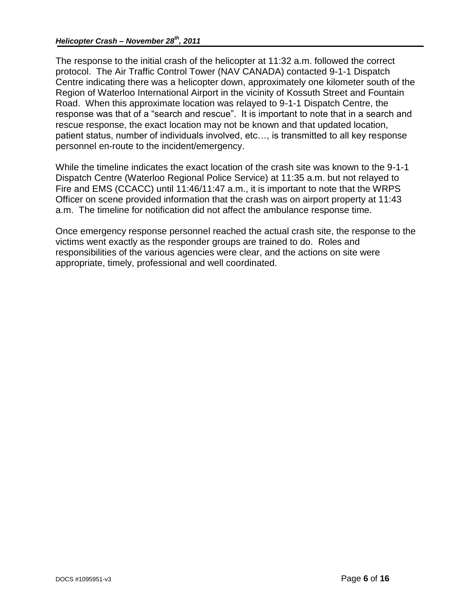The response to the initial crash of the helicopter at 11:32 a.m. followed the correct protocol. The Air Traffic Control Tower (NAV CANADA) contacted 9-1-1 Dispatch Centre indicating there was a helicopter down, approximately one kilometer south of the Region of Waterloo International Airport in the vicinity of Kossuth Street and Fountain Road. When this approximate location was relayed to 9-1-1 Dispatch Centre, the response was that of a "search and rescue". It is important to note that in a search and rescue response, the exact location may not be known and that updated location, patient status, number of individuals involved, etc…, is transmitted to all key response personnel en-route to the incident/emergency.

While the timeline indicates the exact location of the crash site was known to the 9-1-1 Dispatch Centre (Waterloo Regional Police Service) at 11:35 a.m. but not relayed to Fire and EMS (CCACC) until 11:46/11:47 a.m., it is important to note that the WRPS Officer on scene provided information that the crash was on airport property at 11:43 a.m. The timeline for notification did not affect the ambulance response time.

Once emergency response personnel reached the actual crash site, the response to the victims went exactly as the responder groups are trained to do. Roles and responsibilities of the various agencies were clear, and the actions on site were appropriate, timely, professional and well coordinated.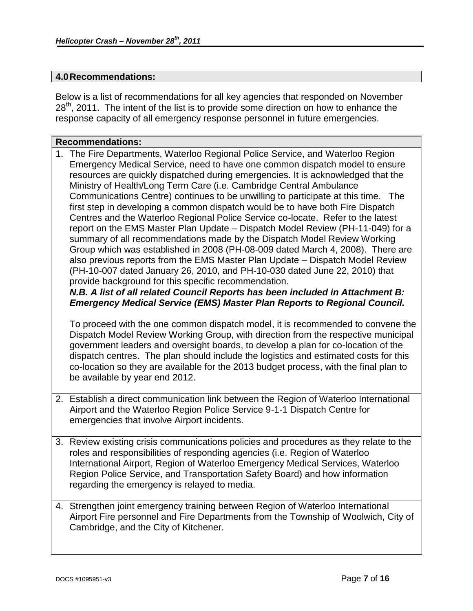#### <span id="page-12-0"></span>**4.0Recommendations:**

Below is a list of recommendations for all key agencies that responded on November 28<sup>th</sup>, 2011. The intent of the list is to provide some direction on how to enhance the response capacity of all emergency response personnel in future emergencies.

# **Recommendations:**

1. The Fire Departments, Waterloo Regional Police Service, and Waterloo Region Emergency Medical Service, need to have one common dispatch model to ensure resources are quickly dispatched during emergencies. It is acknowledged that the Ministry of Health/Long Term Care (i.e. Cambridge Central Ambulance Communications Centre) continues to be unwilling to participate at this time. The first step in developing a common dispatch would be to have both Fire Dispatch Centres and the Waterloo Regional Police Service co-locate. Refer to the latest report on the EMS Master Plan Update – Dispatch Model Review (PH-11-049) for a summary of all recommendations made by the Dispatch Model Review Working Group which was established in 2008 (PH-08-009 dated March 4, 2008). There are also previous reports from the EMS Master Plan Update – Dispatch Model Review (PH-10-007 dated January 26, 2010, and PH-10-030 dated June 22, 2010) that provide background for this specific recommendation.

## *N.B. A list of all related Council Reports has been included in Attachment B: Emergency Medical Service (EMS) Master Plan Reports to Regional Council.*

To proceed with the one common dispatch model, it is recommended to convene the Dispatch Model Review Working Group, with direction from the respective municipal government leaders and oversight boards, to develop a plan for co-location of the dispatch centres. The plan should include the logistics and estimated costs for this co-location so they are available for the 2013 budget process, with the final plan to be available by year end 2012.

- 2. Establish a direct communication link between the Region of Waterloo International Airport and the Waterloo Region Police Service 9-1-1 Dispatch Centre for emergencies that involve Airport incidents.
- 3. Review existing crisis communications policies and procedures as they relate to the roles and responsibilities of responding agencies (i.e. Region of Waterloo International Airport, Region of Waterloo Emergency Medical Services, Waterloo Region Police Service, and Transportation Safety Board) and how information regarding the emergency is relayed to media.
- 4. Strengthen joint emergency training between Region of Waterloo International Airport Fire personnel and Fire Departments from the Township of Woolwich, City of Cambridge, and the City of Kitchener.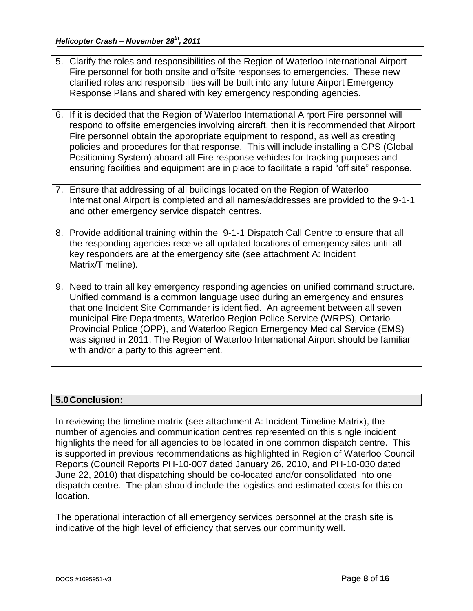- 5. Clarify the roles and responsibilities of the Region of Waterloo International Airport Fire personnel for both onsite and offsite responses to emergencies. These new clarified roles and responsibilities will be built into any future Airport Emergency Response Plans and shared with key emergency responding agencies.
- 6. If it is decided that the Region of Waterloo International Airport Fire personnel will respond to offsite emergencies involving aircraft, then it is recommended that Airport Fire personnel obtain the appropriate equipment to respond, as well as creating policies and procedures for that response. This will include installing a GPS (Global Positioning System) aboard all Fire response vehicles for tracking purposes and ensuring facilities and equipment are in place to facilitate a rapid "off site" response.
- 7. Ensure that addressing of all buildings located on the Region of Waterloo International Airport is completed and all names/addresses are provided to the 9-1-1 and other emergency service dispatch centres.
- 8. Provide additional training within the 9-1-1 Dispatch Call Centre to ensure that all the responding agencies receive all updated locations of emergency sites until all key responders are at the emergency site (see attachment A: Incident Matrix/Timeline).
- 9. Need to train all key emergency responding agencies on unified command structure. Unified command is a common language used during an emergency and ensures that one Incident Site Commander is identified. An agreement between all seven municipal Fire Departments, Waterloo Region Police Service (WRPS), Ontario Provincial Police (OPP), and Waterloo Region Emergency Medical Service (EMS) was signed in 2011. The Region of Waterloo International Airport should be familiar with and/or a party to this agreement.

## <span id="page-13-0"></span>**5.0Conclusion:**

In reviewing the timeline matrix (see attachment A: Incident Timeline Matrix), the number of agencies and communication centres represented on this single incident highlights the need for all agencies to be located in one common dispatch centre. This is supported in previous recommendations as highlighted in Region of Waterloo Council Reports (Council Reports PH-10-007 dated January 26, 2010, and PH-10-030 dated June 22, 2010) that dispatching should be co-located and/or consolidated into one dispatch centre. The plan should include the logistics and estimated costs for this colocation.

The operational interaction of all emergency services personnel at the crash site is indicative of the high level of efficiency that serves our community well.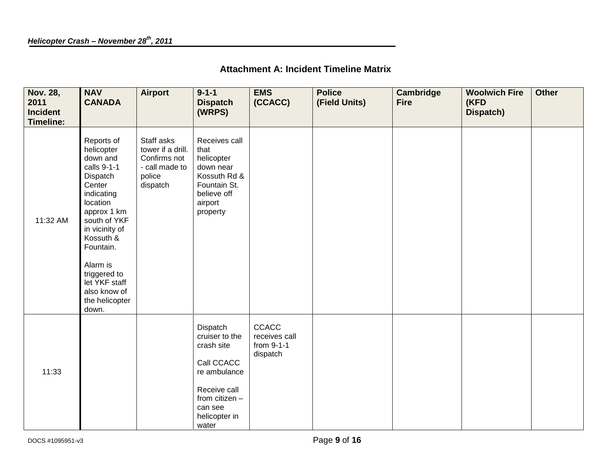| <b>Attachment A: Incident Timeline Matrix</b> |  |  |  |
|-----------------------------------------------|--|--|--|
|-----------------------------------------------|--|--|--|

<span id="page-14-0"></span>

| <b>Nov. 28,</b><br>2011<br><b>Incident</b><br><b>Timeline:</b> | <b>NAV</b><br><b>CANADA</b>                                                                                                                                                                                                                                            | Airport                                                                                 | $9 - 1 - 1$<br><b>Dispatch</b><br>(WRPS)                                                                                                      | <b>EMS</b><br>(CCACC)                                   | <b>Police</b><br>(Field Units) | Cambridge<br><b>Fire</b> | <b>Woolwich Fire</b><br>(KFD<br>Dispatch) | <b>Other</b> |
|----------------------------------------------------------------|------------------------------------------------------------------------------------------------------------------------------------------------------------------------------------------------------------------------------------------------------------------------|-----------------------------------------------------------------------------------------|-----------------------------------------------------------------------------------------------------------------------------------------------|---------------------------------------------------------|--------------------------------|--------------------------|-------------------------------------------|--------------|
| 11:32 AM                                                       | Reports of<br>helicopter<br>down and<br>calls 9-1-1<br>Dispatch<br>Center<br>indicating<br>location<br>approx 1 km<br>south of YKF<br>in vicinity of<br>Kossuth &<br>Fountain.<br>Alarm is<br>triggered to<br>let YKF staff<br>also know of<br>the helicopter<br>down. | Staff asks<br>tower if a drill.<br>Confirms not<br>- call made to<br>police<br>dispatch | Receives call<br>that<br>helicopter<br>down near<br>Kossuth Rd &<br>Fountain St.<br>believe off<br>airport<br>property                        |                                                         |                                |                          |                                           |              |
| 11:33                                                          |                                                                                                                                                                                                                                                                        |                                                                                         | Dispatch<br>cruiser to the<br>crash site<br>Call CCACC<br>re ambulance<br>Receive call<br>from citizen -<br>can see<br>helicopter in<br>water | <b>CCACC</b><br>receives call<br>from 9-1-1<br>dispatch |                                |                          |                                           |              |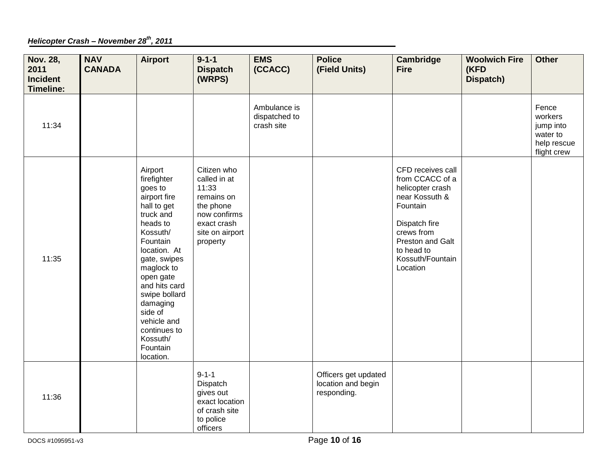## *Helicopter Crash – November 28th, 2011*

| <b>Nov. 28,</b><br>2011<br><b>Incident</b><br><b>Timeline:</b> | <b>NAV</b><br><b>CANADA</b> | <b>Airport</b>                                                                                                                                                                                                                                                                                            | $9 - 1 - 1$<br><b>Dispatch</b><br>(WRPS)                                                                                      | <b>EMS</b><br>(CCACC)                       | <b>Police</b><br>(Field Units)                            | <b>Cambridge</b><br><b>Fire</b>                                                                                                                                                         | <b>Woolwich Fire</b><br>(KFD<br>Dispatch) | <b>Other</b>                                                            |
|----------------------------------------------------------------|-----------------------------|-----------------------------------------------------------------------------------------------------------------------------------------------------------------------------------------------------------------------------------------------------------------------------------------------------------|-------------------------------------------------------------------------------------------------------------------------------|---------------------------------------------|-----------------------------------------------------------|-----------------------------------------------------------------------------------------------------------------------------------------------------------------------------------------|-------------------------------------------|-------------------------------------------------------------------------|
| 11:34                                                          |                             |                                                                                                                                                                                                                                                                                                           |                                                                                                                               | Ambulance is<br>dispatched to<br>crash site |                                                           |                                                                                                                                                                                         |                                           | Fence<br>workers<br>jump into<br>water to<br>help rescue<br>flight crew |
| 11:35                                                          |                             | Airport<br>firefighter<br>goes to<br>airport fire<br>hall to get<br>truck and<br>heads to<br>Kossuth/<br>Fountain<br>location. At<br>gate, swipes<br>maglock to<br>open gate<br>and hits card<br>swipe bollard<br>damaging<br>side of<br>vehicle and<br>continues to<br>Kossuth/<br>Fountain<br>location. | Citizen who<br>called in at<br>11:33<br>remains on<br>the phone<br>now confirms<br>exact crash<br>site on airport<br>property |                                             |                                                           | CFD receives call<br>from CCACC of a<br>helicopter crash<br>near Kossuth &<br>Fountain<br>Dispatch fire<br>crews from<br>Preston and Galt<br>to head to<br>Kossuth/Fountain<br>Location |                                           |                                                                         |
| 11:36                                                          |                             |                                                                                                                                                                                                                                                                                                           | $9 - 1 - 1$<br>Dispatch<br>gives out<br>exact location<br>of crash site<br>to police<br>officers                              |                                             | Officers get updated<br>location and begin<br>responding. |                                                                                                                                                                                         |                                           |                                                                         |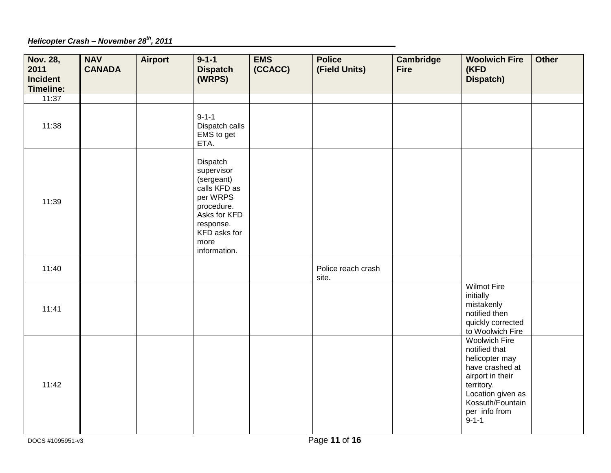*Helicopter Crash – November 28th, 2011*

| <b>Nov. 28,</b><br>2011<br><b>Incident</b><br><b>Timeline:</b> | <b>NAV</b><br><b>CANADA</b> | <b>Airport</b> | $9 - 1 - 1$<br><b>Dispatch</b><br>(WRPS)                                                                                                            | <b>EMS</b><br>(CCACC) | <b>Police</b><br>(Field Units) | <b>Cambridge</b><br><b>Fire</b> | <b>Woolwich Fire</b><br>(KFD<br><b>Dispatch)</b>                                                                                                                                      | <b>Other</b> |
|----------------------------------------------------------------|-----------------------------|----------------|-----------------------------------------------------------------------------------------------------------------------------------------------------|-----------------------|--------------------------------|---------------------------------|---------------------------------------------------------------------------------------------------------------------------------------------------------------------------------------|--------------|
| 11:37                                                          |                             |                |                                                                                                                                                     |                       |                                |                                 |                                                                                                                                                                                       |              |
| 11:38                                                          |                             |                | $9 - 1 - 1$<br>Dispatch calls<br>EMS to get<br>ETA.                                                                                                 |                       |                                |                                 |                                                                                                                                                                                       |              |
| 11:39                                                          |                             |                | Dispatch<br>supervisor<br>(sergeant)<br>calls KFD as<br>per WRPS<br>procedure.<br>Asks for KFD<br>response.<br>KFD asks for<br>more<br>information. |                       |                                |                                 |                                                                                                                                                                                       |              |
| 11:40                                                          |                             |                |                                                                                                                                                     |                       | Police reach crash<br>site.    |                                 |                                                                                                                                                                                       |              |
| 11:41                                                          |                             |                |                                                                                                                                                     |                       |                                |                                 | <b>Wilmot Fire</b><br>initially<br>mistakenly<br>notified then<br>quickly corrected<br>to Woolwich Fire                                                                               |              |
| 11:42                                                          |                             |                |                                                                                                                                                     |                       |                                |                                 | <b>Woolwich Fire</b><br>notified that<br>helicopter may<br>have crashed at<br>airport in their<br>territory.<br>Location given as<br>Kossuth/Fountain<br>per info from<br>$9 - 1 - 1$ |              |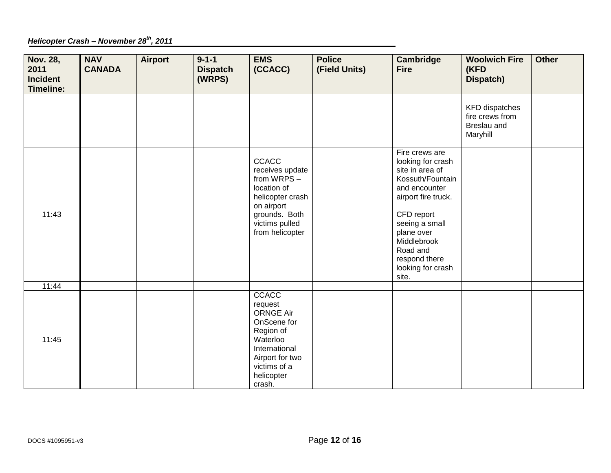## *Helicopter Crash – November 28th, 2011*

| <b>Nov. 28,</b><br>2011<br><b>Incident</b><br><b>Timeline:</b> | <b>NAV</b><br><b>CANADA</b> | <b>Airport</b> | $9 - 1 - 1$<br><b>Dispatch</b><br>(WRPS) | <b>EMS</b><br>(CCACC)                                                                                                                                    | <b>Police</b><br>(Field Units) | <b>Cambridge</b><br><b>Fire</b>                                                                                                                                                                                                            | <b>Woolwich Fire</b><br>(KFD<br>Dispatch)                           | <b>Other</b> |
|----------------------------------------------------------------|-----------------------------|----------------|------------------------------------------|----------------------------------------------------------------------------------------------------------------------------------------------------------|--------------------------------|--------------------------------------------------------------------------------------------------------------------------------------------------------------------------------------------------------------------------------------------|---------------------------------------------------------------------|--------------|
|                                                                |                             |                |                                          |                                                                                                                                                          |                                |                                                                                                                                                                                                                                            | <b>KFD</b> dispatches<br>fire crews from<br>Breslau and<br>Maryhill |              |
| 11:43                                                          |                             |                |                                          | <b>CCACC</b><br>receives update<br>from WRPS-<br>location of<br>helicopter crash<br>on airport<br>grounds. Both<br>victims pulled<br>from helicopter     |                                | Fire crews are<br>looking for crash<br>site in area of<br>Kossuth/Fountain<br>and encounter<br>airport fire truck.<br>CFD report<br>seeing a small<br>plane over<br>Middlebrook<br>Road and<br>respond there<br>looking for crash<br>site. |                                                                     |              |
| 11:44                                                          |                             |                |                                          |                                                                                                                                                          |                                |                                                                                                                                                                                                                                            |                                                                     |              |
| 11:45                                                          |                             |                |                                          | CCACC<br>request<br><b>ORNGE Air</b><br>OnScene for<br>Region of<br>Waterloo<br>International<br>Airport for two<br>victims of a<br>helicopter<br>crash. |                                |                                                                                                                                                                                                                                            |                                                                     |              |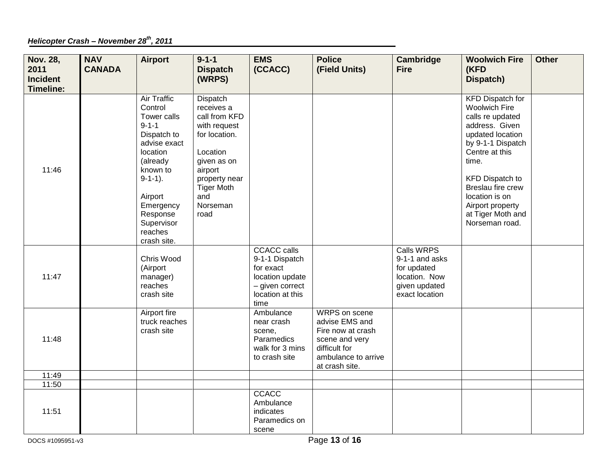*Helicopter Crash – November 28th, 2011*

| <b>Nov. 28,</b><br>2011<br><b>Incident</b><br>Timeline: | <b>NAV</b><br><b>CANADA</b> | <b>Airport</b>                                                                                                                                                                                                           | $9 - 1 - 1$<br><b>Dispatch</b><br>(WRPS)                                                                                                                                        | <b>EMS</b><br>(CCACC)                                                                                               | <b>Police</b><br>(Field Units)                                                                                                   | <b>Cambridge</b><br><b>Fire</b>                                                                        | <b>Woolwich Fire</b><br>(KFD<br>Dispatch)                                                                                                                                                                                                                                             | <b>Other</b> |
|---------------------------------------------------------|-----------------------------|--------------------------------------------------------------------------------------------------------------------------------------------------------------------------------------------------------------------------|---------------------------------------------------------------------------------------------------------------------------------------------------------------------------------|---------------------------------------------------------------------------------------------------------------------|----------------------------------------------------------------------------------------------------------------------------------|--------------------------------------------------------------------------------------------------------|---------------------------------------------------------------------------------------------------------------------------------------------------------------------------------------------------------------------------------------------------------------------------------------|--------------|
| 11:46                                                   |                             | <b>Air Traffic</b><br>Control<br>Tower calls<br>$9 - 1 - 1$<br>Dispatch to<br>advise exact<br>location<br>(already<br>known to<br>$9-1-1$ ).<br>Airport<br>Emergency<br>Response<br>Supervisor<br>reaches<br>crash site. | Dispatch<br>receives a<br>call from KFD<br>with request<br>for location.<br>Location<br>given as on<br>airport<br>property near<br><b>Tiger Moth</b><br>and<br>Norseman<br>road |                                                                                                                     |                                                                                                                                  |                                                                                                        | <b>KFD Dispatch for</b><br><b>Woolwich Fire</b><br>calls re updated<br>address. Given<br>updated location<br>by 9-1-1 Dispatch<br>Centre at this<br>time.<br><b>KFD Dispatch to</b><br>Breslau fire crew<br>location is on<br>Airport property<br>at Tiger Moth and<br>Norseman road. |              |
| 11:47                                                   |                             | Chris Wood<br>(Airport<br>manager)<br>reaches<br>crash site                                                                                                                                                              |                                                                                                                                                                                 | <b>CCACC</b> calls<br>9-1-1 Dispatch<br>for exact<br>location update<br>- given correct<br>location at this<br>time |                                                                                                                                  | <b>Calls WRPS</b><br>9-1-1 and asks<br>for updated<br>location. Now<br>given updated<br>exact location |                                                                                                                                                                                                                                                                                       |              |
| 11:48                                                   |                             | Airport fire<br>truck reaches<br>crash site                                                                                                                                                                              |                                                                                                                                                                                 | Ambulance<br>near crash<br>scene,<br>Paramedics<br>walk for 3 mins<br>to crash site                                 | WRPS on scene<br>advise EMS and<br>Fire now at crash<br>scene and very<br>difficult for<br>ambulance to arrive<br>at crash site. |                                                                                                        |                                                                                                                                                                                                                                                                                       |              |
| 11:49                                                   |                             |                                                                                                                                                                                                                          |                                                                                                                                                                                 |                                                                                                                     |                                                                                                                                  |                                                                                                        |                                                                                                                                                                                                                                                                                       |              |
| 11:50                                                   |                             |                                                                                                                                                                                                                          |                                                                                                                                                                                 |                                                                                                                     |                                                                                                                                  |                                                                                                        |                                                                                                                                                                                                                                                                                       |              |
| 11:51                                                   |                             |                                                                                                                                                                                                                          |                                                                                                                                                                                 | CCACC<br>Ambulance<br>indicates<br>Paramedics on<br>scene                                                           |                                                                                                                                  |                                                                                                        |                                                                                                                                                                                                                                                                                       |              |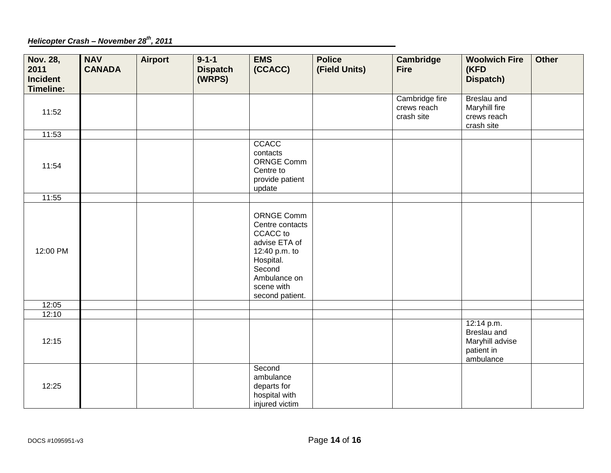*Helicopter Crash – November 28th, 2011*

| <b>Nov. 28,</b><br>2011<br><b>Incident</b><br><b>Timeline:</b> | <b>NAV</b><br><b>CANADA</b> | <b>Airport</b> | $9 - 1 - 1$<br><b>Dispatch</b><br>(WRPS) | <b>EMS</b><br>(CCACC)                                                                                                                               | <b>Police</b><br>(Field Units) | <b>Cambridge</b><br><b>Fire</b>             | <b>Woolwich Fire</b><br>(KFD<br>Dispatch)                               | <b>Other</b> |
|----------------------------------------------------------------|-----------------------------|----------------|------------------------------------------|-----------------------------------------------------------------------------------------------------------------------------------------------------|--------------------------------|---------------------------------------------|-------------------------------------------------------------------------|--------------|
| 11:52                                                          |                             |                |                                          |                                                                                                                                                     |                                | Cambridge fire<br>crews reach<br>crash site | Breslau and<br>Maryhill fire<br>crews reach<br>crash site               |              |
| 11:53                                                          |                             |                |                                          |                                                                                                                                                     |                                |                                             |                                                                         |              |
| 11:54                                                          |                             |                |                                          | CCACC<br>contacts<br><b>ORNGE Comm</b><br>Centre to<br>provide patient<br>update                                                                    |                                |                                             |                                                                         |              |
| 11:55                                                          |                             |                |                                          |                                                                                                                                                     |                                |                                             |                                                                         |              |
| 12:00 PM                                                       |                             |                |                                          | ORNGE Comm<br>Centre contacts<br>CCACC to<br>advise ETA of<br>12:40 p.m. to<br>Hospital.<br>Second<br>Ambulance on<br>scene with<br>second patient. |                                |                                             |                                                                         |              |
| 12:05                                                          |                             |                |                                          |                                                                                                                                                     |                                |                                             |                                                                         |              |
| 12:10                                                          |                             |                |                                          |                                                                                                                                                     |                                |                                             |                                                                         |              |
| 12:15                                                          |                             |                |                                          |                                                                                                                                                     |                                |                                             | 12:14 p.m.<br>Breslau and<br>Maryhill advise<br>patient in<br>ambulance |              |
| 12:25                                                          |                             |                |                                          | Second<br>ambulance<br>departs for<br>hospital with<br>injured victim                                                                               |                                |                                             |                                                                         |              |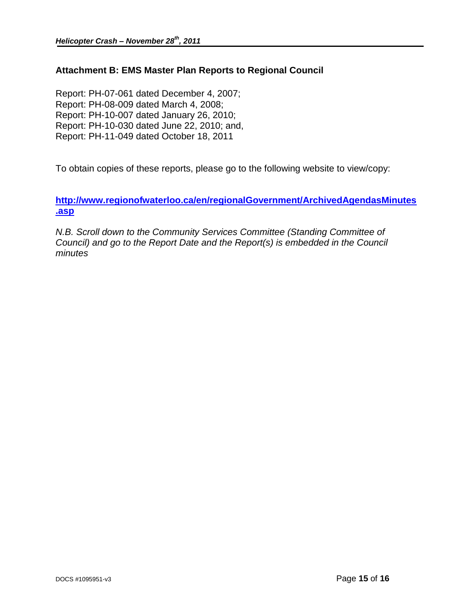## <span id="page-20-0"></span>**Attachment B: EMS Master Plan Reports to Regional Council**

Report: PH-07-061 dated December 4, 2007; Report: PH-08-009 dated March 4, 2008; Report: PH-10-007 dated January 26, 2010; Report: PH-10-030 dated June 22, 2010; and, Report: PH-11-049 dated October 18, 2011

To obtain copies of these reports, please go to the following website to view/copy:

**[http://www.regionofwaterloo.ca/en/regionalGovernment/ArchivedAgendasMinutes](http://www.regionofwaterloo.ca/en/regionalGovernment/ArchivedAgendasMinutes.asp) [.asp](http://www.regionofwaterloo.ca/en/regionalGovernment/ArchivedAgendasMinutes.asp)** 

*N.B. Scroll down to the Community Services Committee (Standing Committee of Council) and go to the Report Date and the Report(s) is embedded in the Council minutes*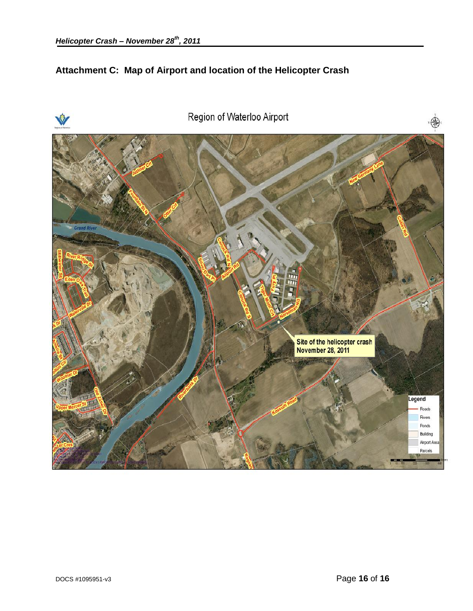## <span id="page-21-0"></span>**Attachment C: Map of Airport and location of the Helicopter Crash**

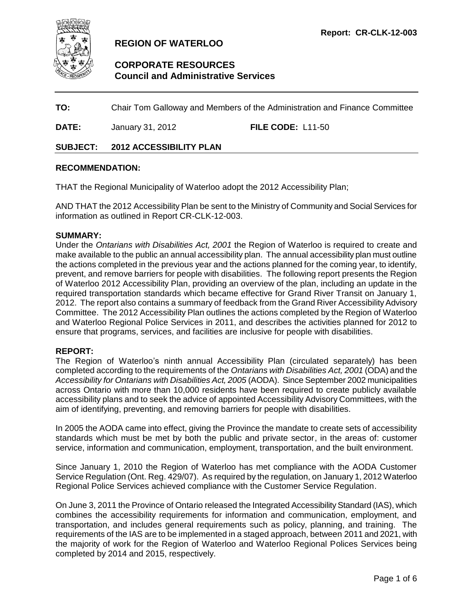<span id="page-22-0"></span>

## **REGION OF WATERLOO**

## **CORPORATE RESOURCES Council and Administrative Services**

**TO:** Chair Tom Galloway and Members of the Administration and Finance Committee

**DATE:** January 31, 2012 **FILE CODE:** L11-50

#### **SUBJECT: 2012 ACCESSIBILITY PLAN**

#### **RECOMMENDATION:**

THAT the Regional Municipality of Waterloo adopt the 2012 Accessibility Plan;

AND THAT the 2012 Accessibility Plan be sent to the Ministry of Community and Social Services for information as outlined in Report CR-CLK-12-003.

#### **SUMMARY:**

Under the *Ontarians with Disabilities Act, 2001* the Region of Waterloo is required to create and make available to the public an annual accessibility plan. The annual accessibility plan must outline the actions completed in the previous year and the actions planned for the coming year, to identify, prevent, and remove barriers for people with disabilities. The following report presents the Region of Waterloo 2012 Accessibility Plan, providing an overview of the plan, including an update in the required transportation standards which became effective for Grand River Transit on January 1, 2012. The report also contains a summary of feedback from the Grand River Accessibility Advisory Committee. The 2012 Accessibility Plan outlines the actions completed by the Region of Waterloo and Waterloo Regional Police Services in 2011, and describes the activities planned for 2012 to ensure that programs, services, and facilities are inclusive for people with disabilities.

#### **REPORT:**

The Region of Waterloo's ninth annual Accessibility Plan (circulated separately) has been completed according to the requirements of the *Ontarians with Disabilities Act, 2001* (ODA) and the *Accessibility for Ontarians with Disabilities Act, 2005* (AODA). Since September 2002 municipalities across Ontario with more than 10,000 residents have been required to create publicly available accessibility plans and to seek the advice of appointed Accessibility Advisory Committees, with the aim of identifying, preventing, and removing barriers for people with disabilities.

In 2005 the AODA came into effect, giving the Province the mandate to create sets of accessibility standards which must be met by both the public and private sector, in the areas of: customer service, information and communication, employment, transportation, and the built environment.

Since January 1, 2010 the Region of Waterloo has met compliance with the AODA Customer Service Regulation (Ont. Reg. 429/07). As required by the regulation, on January 1, 2012 Waterloo Regional Police Services achieved compliance with the Customer Service Regulation.

On June 3, 2011 the Province of Ontario released the Integrated Accessibility Standard (IAS), which combines the accessibility requirements for information and communication, employment, and transportation, and includes general requirements such as policy, planning, and training. The requirements of the IAS are to be implemented in a staged approach, between 2011 and 2021, with the majority of work for the Region of Waterloo and Waterloo Regional Polices Services being completed by 2014 and 2015, respectively.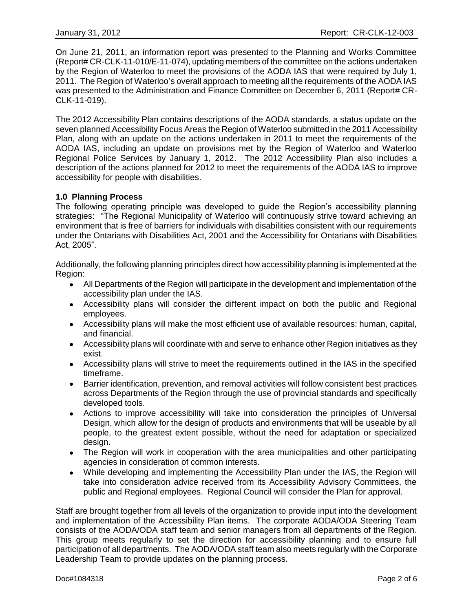On June 21, 2011, an information report was presented to the Planning and Works Committee (Report# CR-CLK-11-010/E-11-074), updating members of the committee on the actions undertaken by the Region of Waterloo to meet the provisions of the AODA IAS that were required by July 1, 2011. The Region of Waterloo's overall approach to meeting all the requirements of the AODA IAS was presented to the Administration and Finance Committee on December 6, 2011 (Report# CR-CLK-11-019).

The 2012 Accessibility Plan contains descriptions of the AODA standards, a status update on the seven planned Accessibility Focus Areas the Region of Waterloo submitted in the 2011 Accessibility Plan, along with an update on the actions undertaken in 2011 to meet the requirements of the AODA IAS, including an update on provisions met by the Region of Waterloo and Waterloo Regional Police Services by January 1, 2012. The 2012 Accessibility Plan also includes a description of the actions planned for 2012 to meet the requirements of the AODA IAS to improve accessibility for people with disabilities.

#### **1.0 Planning Process**

The following operating principle was developed to guide the Region's accessibility planning strategies: "The Regional Municipality of Waterloo will continuously strive toward achieving an environment that is free of barriers for individuals with disabilities consistent with our requirements under the Ontarians with Disabilities Act, 2001 and the Accessibility for Ontarians with Disabilities Act, 2005".

Additionally, the following planning principles direct how accessibility planning is implemented at the Region:

- All Departments of the Region will participate in the development and implementation of the accessibility plan under the IAS.
- Accessibility plans will consider the different impact on both the public and Regional employees.
- Accessibility plans will make the most efficient use of available resources: human, capital, and financial.
- Accessibility plans will coordinate with and serve to enhance other Region initiatives as they exist.
- Accessibility plans will strive to meet the requirements outlined in the IAS in the specified timeframe.
- Barrier identification, prevention, and removal activities will follow consistent best practices across Departments of the Region through the use of provincial standards and specifically developed tools.
- Actions to improve accessibility will take into consideration the principles of Universal Design, which allow for the design of products and environments that will be useable by all people, to the greatest extent possible, without the need for adaptation or specialized design.
- The Region will work in cooperation with the area municipalities and other participating agencies in consideration of common interests.
- While developing and implementing the Accessibility Plan under the IAS, the Region will take into consideration advice received from its Accessibility Advisory Committees, the public and Regional employees. Regional Council will consider the Plan for approval.

Staff are brought together from all levels of the organization to provide input into the development and implementation of the Accessibility Plan items. The corporate AODA/ODA Steering Team consists of the AODA/ODA staff team and senior managers from all departments of the Region. This group meets regularly to set the direction for accessibility planning and to ensure full participation of all departments. The AODA/ODA staff team also meets regularly with the Corporate Leadership Team to provide updates on the planning process.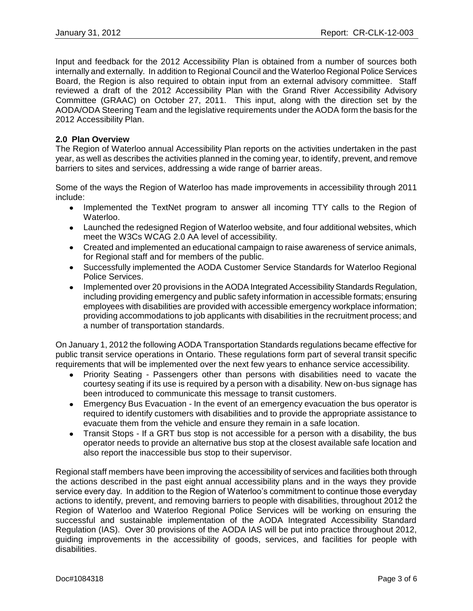Input and feedback for the 2012 Accessibility Plan is obtained from a number of sources both internally and externally. In addition to Regional Council and the Waterloo Regional Police Services Board, the Region is also required to obtain input from an external advisory committee. Staff reviewed a draft of the 2012 Accessibility Plan with the Grand River Accessibility Advisory Committee (GRAAC) on October 27, 2011. This input, along with the direction set by the AODA/ODA Steering Team and the legislative requirements under the AODA form the basis for the 2012 Accessibility Plan.

#### **2.0 Plan Overview**

The Region of Waterloo annual Accessibility Plan reports on the activities undertaken in the past year, as well as describes the activities planned in the coming year, to identify, prevent, and remove barriers to sites and services, addressing a wide range of barrier areas.

Some of the ways the Region of Waterloo has made improvements in accessibility through 2011 include:

- Implemented the TextNet program to answer all incoming TTY calls to the Region of Waterloo.
- Launched the redesigned Region of Waterloo website, and four additional websites, which meet the W3Cs WCAG 2.0 AA level of accessibility.
- Created and implemented an educational campaign to raise awareness of service animals, for Regional staff and for members of the public.
- Successfully implemented the AODA Customer Service Standards for Waterloo Regional Police Services.
- Implemented over 20 provisions in the AODA Integrated Accessibility Standards Regulation, including providing emergency and public safety information in accessible formats; ensuring employees with disabilities are provided with accessible emergency workplace information; providing accommodations to job applicants with disabilities in the recruitment process; and a number of transportation standards.

On January 1, 2012 the following AODA Transportation Standards regulations became effective for public transit service operations in Ontario. These regulations form part of several transit specific requirements that will be implemented over the next few years to enhance service accessibility.

- Priority Seating Passengers other than persons with disabilities need to vacate the courtesy seating if its use is required by a person with a disability. New on-bus signage has been introduced to communicate this message to transit customers.
- Emergency Bus Evacuation In the event of an emergency evacuation the bus operator is required to identify customers with disabilities and to provide the appropriate assistance to evacuate them from the vehicle and ensure they remain in a safe location.
- Transit Stops If a GRT bus stop is not accessible for a person with a disability, the bus operator needs to provide an alternative bus stop at the closest available safe location and also report the inaccessible bus stop to their supervisor.

Regional staff members have been improving the accessibility of services and facilities both through the actions described in the past eight annual accessibility plans and in the ways they provide service every day. In addition to the Region of Waterloo's commitment to continue those everyday actions to identify, prevent, and removing barriers to people with disabilities, throughout 2012 the Region of Waterloo and Waterloo Regional Police Services will be working on ensuring the successful and sustainable implementation of the AODA Integrated Accessibility Standard Regulation (IAS). Over 30 provisions of the AODA IAS will be put into practice throughout 2012, guiding improvements in the accessibility of goods, services, and facilities for people with disabilities.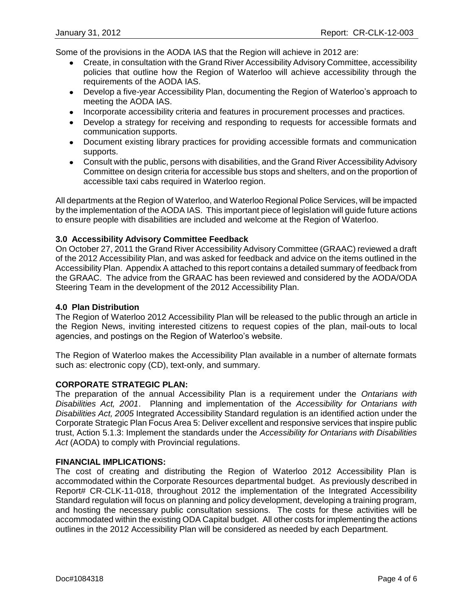Some of the provisions in the AODA IAS that the Region will achieve in 2012 are:

- Create, in consultation with the Grand River Accessibility Advisory Committee, accessibility policies that outline how the Region of Waterloo will achieve accessibility through the requirements of the AODA IAS.
- Develop a five-year Accessibility Plan, documenting the Region of Waterloo's approach to meeting the AODA IAS.
- Incorporate accessibility criteria and features in procurement processes and practices.
- Develop a strategy for receiving and responding to requests for accessible formats and communication supports.
- Document existing library practices for providing accessible formats and communication supports.
- Consult with the public, persons with disabilities, and the Grand River Accessibility Advisory Committee on design criteria for accessible bus stops and shelters, and on the proportion of accessible taxi cabs required in Waterloo region.

All departments at the Region of Waterloo, and Waterloo Regional Police Services, will be impacted by the implementation of the AODA IAS. This important piece of legislation will guide future actions to ensure people with disabilities are included and welcome at the Region of Waterloo.

#### **3.0 Accessibility Advisory Committee Feedback**

On October 27, 2011 the Grand River Accessibility Advisory Committee (GRAAC) reviewed a draft of the 2012 Accessibility Plan, and was asked for feedback and advice on the items outlined in the Accessibility Plan. Appendix A attached to this report contains a detailed summary of feedback from the GRAAC. The advice from the GRAAC has been reviewed and considered by the AODA/ODA Steering Team in the development of the 2012 Accessibility Plan.

#### **4.0 Plan Distribution**

The Region of Waterloo 2012 Accessibility Plan will be released to the public through an article in the Region News, inviting interested citizens to request copies of the plan, mail-outs to local agencies, and postings on the Region of Waterloo's website.

The Region of Waterloo makes the Accessibility Plan available in a number of alternate formats such as: electronic copy (CD), text-only, and summary.

#### **CORPORATE STRATEGIC PLAN:**

The preparation of the annual Accessibility Plan is a requirement under the *Ontarians with Disabilities Act, 2001*. Planning and implementation of the *Accessibility for Ontarians with Disabilities Act, 2005* Integrated Accessibility Standard regulation is an identified action under the Corporate Strategic Plan Focus Area 5: Deliver excellent and responsive services that inspire public trust, Action 5.1.3: Implement the standards under the *Accessibility for Ontarians with Disabilities Act* (AODA) to comply with Provincial regulations.

#### **FINANCIAL IMPLICATIONS:**

The cost of creating and distributing the Region of Waterloo 2012 Accessibility Plan is accommodated within the Corporate Resources departmental budget. As previously described in Report# CR-CLK-11-018, throughout 2012 the implementation of the Integrated Accessibility Standard regulation will focus on planning and policy development, developing a training program, and hosting the necessary public consultation sessions. The costs for these activities will be accommodated within the existing ODA Capital budget. All other costs for implementing the actions outlines in the 2012 Accessibility Plan will be considered as needed by each Department.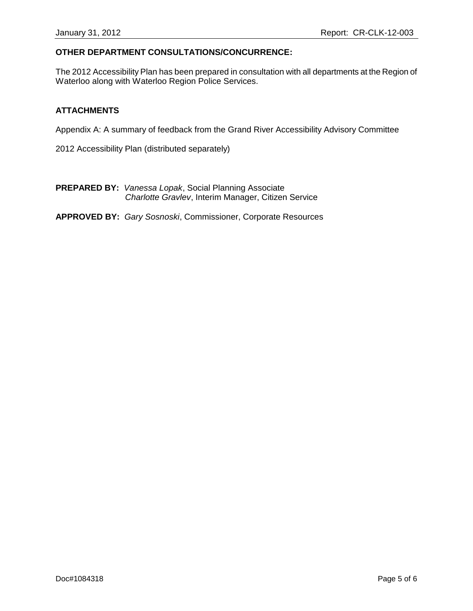#### **OTHER DEPARTMENT CONSULTATIONS/CONCURRENCE:**

The 2012 Accessibility Plan has been prepared in consultation with all departments at the Region of Waterloo along with Waterloo Region Police Services.

#### **ATTACHMENTS**

Appendix A: A summary of feedback from the Grand River Accessibility Advisory Committee

2012 Accessibility Plan (distributed separately)

**PREPARED BY:** *Vanessa Lopak*, Social Planning Associate *Charlotte Gravlev*, Interim Manager, Citizen Service

**APPROVED BY:** *Gary Sosnoski*, Commissioner, Corporate Resources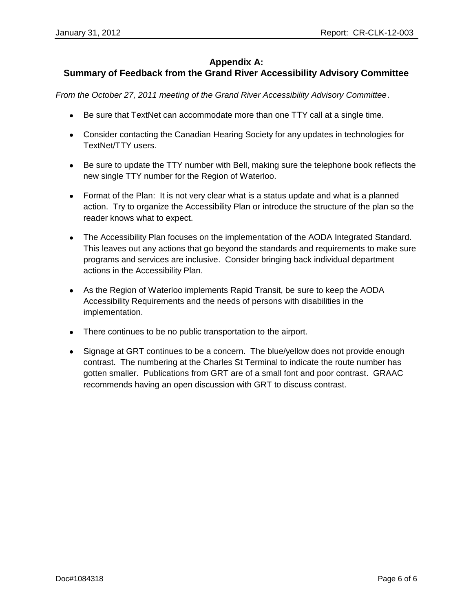## **Appendix A:**

## **Summary of Feedback from the Grand River Accessibility Advisory Committee**

*From the October 27, 2011 meeting of the Grand River Accessibility Advisory Committee*.

- Be sure that TextNet can accommodate more than one TTY call at a single time.
- Consider contacting the Canadian Hearing Society for any updates in technologies for TextNet/TTY users.
- Be sure to update the TTY number with Bell, making sure the telephone book reflects the new single TTY number for the Region of Waterloo.
- Format of the Plan: It is not very clear what is a status update and what is a planned action. Try to organize the Accessibility Plan or introduce the structure of the plan so the reader knows what to expect.
- The Accessibility Plan focuses on the implementation of the AODA Integrated Standard. This leaves out any actions that go beyond the standards and requirements to make sure programs and services are inclusive. Consider bringing back individual department actions in the Accessibility Plan.
- As the Region of Waterloo implements Rapid Transit, be sure to keep the AODA Accessibility Requirements and the needs of persons with disabilities in the implementation.
- There continues to be no public transportation to the airport.
- Signage at GRT continues to be a concern. The blue/yellow does not provide enough contrast. The numbering at the Charles St Terminal to indicate the route number has gotten smaller. Publications from GRT are of a small font and poor contrast. GRAAC recommends having an open discussion with GRT to discuss contrast.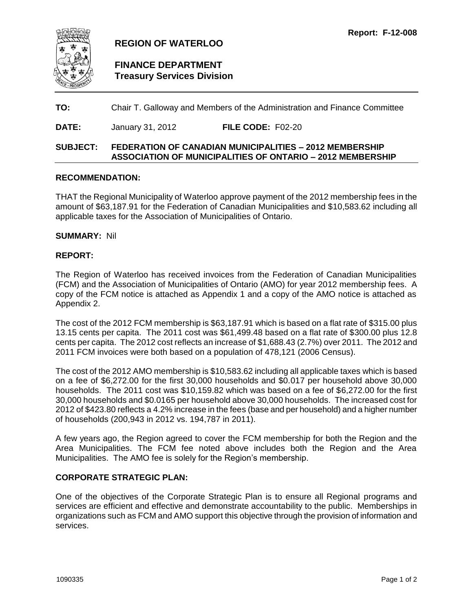<span id="page-28-0"></span>

## **REGION OF WATERLOO**

## **FINANCE DEPARTMENT Treasury Services Division**

### **TO:** Chair T. Galloway and Members of the Administration and Finance Committee

**DATE:** January 31, 2012 **FILE CODE:** F02-20

### **SUBJECT: FEDERATION OF CANADIAN MUNICIPALITIES – 2012 MEMBERSHIP ASSOCIATION OF MUNICIPALITIES OF ONTARIO – 2012 MEMBERSHIP**

#### **RECOMMENDATION:**

THAT the Regional Municipality of Waterloo approve payment of the 2012 membership fees in the amount of \$63,187.91 for the Federation of Canadian Municipalities and \$10,583.62 including all applicable taxes for the Association of Municipalities of Ontario.

#### **SUMMARY:** Nil

#### **REPORT:**

The Region of Waterloo has received invoices from the Federation of Canadian Municipalities (FCM) and the Association of Municipalities of Ontario (AMO) for year 2012 membership fees. A copy of the FCM notice is attached as Appendix 1 and a copy of the AMO notice is attached as Appendix 2.

The cost of the 2012 FCM membership is \$63,187.91 which is based on a flat rate of \$315.00 plus 13.15 cents per capita. The 2011 cost was \$61,499.48 based on a flat rate of \$300.00 plus 12.8 cents per capita. The 2012 cost reflects an increase of \$1,688.43 (2.7%) over 2011. The 2012 and 2011 FCM invoices were both based on a population of 478,121 (2006 Census).

The cost of the 2012 AMO membership is \$10,583.62 including all applicable taxes which is based on a fee of \$6,272.00 for the first 30,000 households and \$0.017 per household above 30,000 households. The 2011 cost was \$10,159.82 which was based on a fee of \$6,272.00 for the first 30,000 households and \$0.0165 per household above 30,000 households. The increased cost for 2012 of \$423.80 reflects a 4.2% increase in the fees (base and per household) and a higher number of households (200,943 in 2012 vs. 194,787 in 2011).

A few years ago, the Region agreed to cover the FCM membership for both the Region and the Area Municipalities. The FCM fee noted above includes both the Region and the Area Municipalities. The AMO fee is solely for the Region's membership.

#### **CORPORATE STRATEGIC PLAN:**

One of the objectives of the Corporate Strategic Plan is to ensure all Regional programs and services are efficient and effective and demonstrate accountability to the public. Memberships in organizations such as FCM and AMO support this objective through the provision of information and services.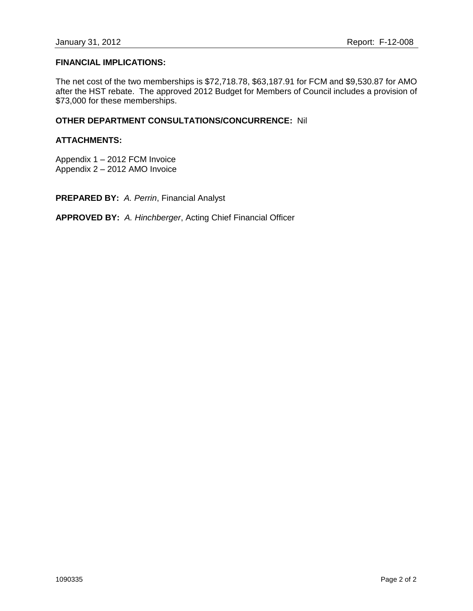#### **FINANCIAL IMPLICATIONS:**

The net cost of the two memberships is \$72,718.78, \$63,187.91 for FCM and \$9,530.87 for AMO after the HST rebate. The approved 2012 Budget for Members of Council includes a provision of \$73,000 for these memberships.

### **OTHER DEPARTMENT CONSULTATIONS/CONCURRENCE:** Nil

#### **ATTACHMENTS:**

Appendix 1 – 2012 FCM Invoice Appendix 2 – 2012 AMO Invoice

**PREPARED BY:** *A. Perrin*, Financial Analyst

**APPROVED BY:** *A. Hinchberger*, Acting Chief Financial Officer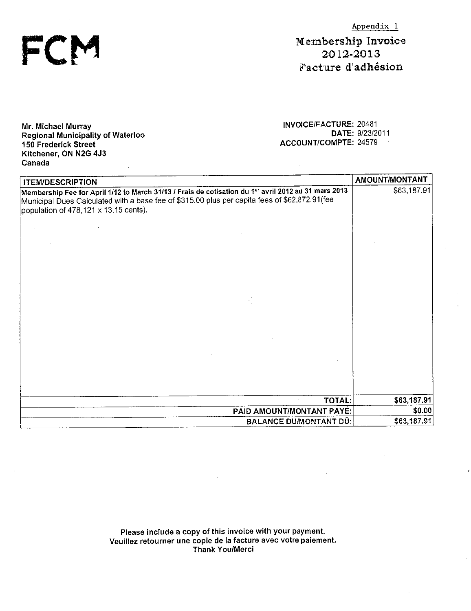$Appendix_1$ 

Membership Invoice 2012-2013 Facture d'adhésion

Mr. Michael Murray Regional Municipality of Waterloo 150 Frederick Street Kitchener, ON N2G 4J3 Canada

FCI

**INVOICE/FACTURE: 20481** DATE: 9/23/2011 ACCOUNT/COMPTE: 24579

 $\hat{u}$ 

| <b>ITEM/DESCRIPTION</b>                                                                                                                                                                                                                        | AMOUNT/MONTANT |
|------------------------------------------------------------------------------------------------------------------------------------------------------------------------------------------------------------------------------------------------|----------------|
| Membership Fee for April 1/12 to March 31/13 / Frais de cotisation du 1er avril 2012 au 31 mars 2013<br>Municipal Dues Calculated with a base fee of \$315.00 plus per capita fees of \$62,872.91(fee<br>population of 478,121 x 13.15 cents). | \$63,187.91    |
|                                                                                                                                                                                                                                                |                |
|                                                                                                                                                                                                                                                |                |
|                                                                                                                                                                                                                                                |                |
|                                                                                                                                                                                                                                                |                |
|                                                                                                                                                                                                                                                |                |
|                                                                                                                                                                                                                                                |                |
|                                                                                                                                                                                                                                                |                |
|                                                                                                                                                                                                                                                |                |
|                                                                                                                                                                                                                                                |                |
| <b>TOTAL:</b>                                                                                                                                                                                                                                  | \$63,187.91    |
| PAID AMOUNT/MONTANT PAYÉ:                                                                                                                                                                                                                      | \$0.00         |
| <b>BALANCE DU/MONTANT DÚ:</b>                                                                                                                                                                                                                  | \$63,187.91    |

Please include a copy of this invoice with your payment.<br>Veuillez retourner une copie de la facture avec votre paiement. Thank You/Merci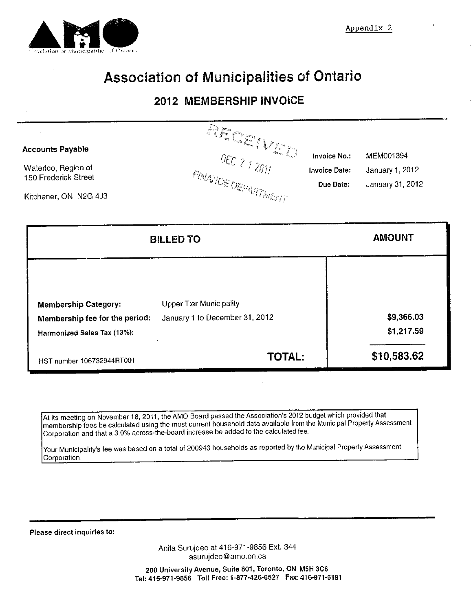

# Association of Municipalities of Ontario

## 2012 MEMBERSHIP INVOICE

| <b>Accounts Payable</b><br>Waterloo, Region of<br><b>150 Frederick Street</b><br>Kitchener, ON N2G 4J3 | $R$ ECEIVED<br><b>FINAINOS DE PARTMENT</b>                       | Invoice No.:<br><b>Invoice Date:</b><br>Due Date: | MEM001394<br>January 1, 2012<br>January 31, 2012 |
|--------------------------------------------------------------------------------------------------------|------------------------------------------------------------------|---------------------------------------------------|--------------------------------------------------|
|                                                                                                        | <b>BILLED TO</b>                                                 |                                                   | <b>AMOUNT</b>                                    |
| <b>Membership Category:</b><br>Membership fee for the period:<br>Harmonized Sales Tax (13%):           | <b>Upper Tier Municipality</b><br>January 1 to December 31, 2012 |                                                   | \$9,366.03<br>\$1,217.59                         |
| HST number 106732944RT001                                                                              | <b>TOTAL:</b>                                                    |                                                   | \$10,583.62                                      |

At its meeting on November 18, 2011, the AMO Board passed the Association's 2012 budget which provided that membership fees be calculated using the most current household data available from the Municipal Property Assessment Corporation and that a 3.0% across-the-board increase be added to the calculated fee.

Your Municipality's fee was based on a total of 200943 households as reported by the Municipal Property Assessment Corporation.

Please direct inquiries to:

Anita Surujdeo at 416-971-9856 Ext. 344 asurujdeo@amo.on.ca

200 University Avenue, Suite 801, Toronto, ON M5H 3C6 Tel: 416-971-9856 Toll Free: 1-877-426-6527 Fax: 416-971-6191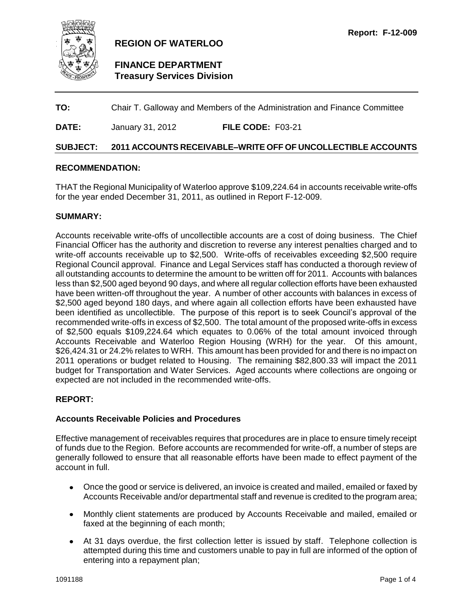<span id="page-32-0"></span>

## **109,225 REGION OF WATERLOO**

## **FINANCE DEPARTMENT Treasury Services Division**

## **TO:** Chair T. Galloway and Members of the Administration and Finance Committee

**DATE:** January 31, 2012 **FILE CODE:** F03-21

#### **SUBJECT: 2011 ACCOUNTS RECEIVABLE–WRITE OFF OF UNCOLLECTIBLE ACCOUNTS**

#### **RECOMMENDATION:**

THAT the Regional Municipality of Waterloo approve \$109,224.64 in accounts receivable write-offs for the year ended December 31, 2011, as outlined in Report F-12-009.

#### **SUMMARY:**

Accounts receivable write-offs of uncollectible accounts are a cost of doing business. The Chief Financial Officer has the authority and discretion to reverse any interest penalties charged and to write-off accounts receivable up to \$2,500. Write-offs of receivables exceeding \$2,500 require Regional Council approval. Finance and Legal Services staff has conducted a thorough review of all outstanding accounts to determine the amount to be written off for 2011. Accounts with balances less than \$2,500 aged beyond 90 days, and where all regular collection efforts have been exhausted have been written-off throughout the year. A number of other accounts with balances in excess of \$2,500 aged beyond 180 days, and where again all collection efforts have been exhausted have been identified as uncollectible. The purpose of this report is to seek Council's approval of the recommended write-offs in excess of \$2,500. The total amount of the proposed write-offs in excess of \$2,500 equals \$109,224.64 which equates to 0.06% of the total amount invoiced through Accounts Receivable and Waterloo Region Housing (WRH) for the year. Of this amount, \$26,424.31 or 24.2% relates to WRH. This amount has been provided for and there is no impact on 2011 operations or budget related to Housing. The remaining \$82,800.33 will impact the 2011 budget for Transportation and Water Services. Aged accounts where collections are ongoing or expected are not included in the recommended write-offs.

#### **REPORT:**

#### **Accounts Receivable Policies and Procedures**

Effective management of receivables requires that procedures are in place to ensure timely receipt of funds due to the Region. Before accounts are recommended for write-off, a number of steps are generally followed to ensure that all reasonable efforts have been made to effect payment of the account in full.

- Once the good or service is delivered, an invoice is created and mailed, emailed or faxed by  $\bullet$ Accounts Receivable and/or departmental staff and revenue is credited to the program area;
- Monthly client statements are produced by Accounts Receivable and mailed, emailed or faxed at the beginning of each month;
- At 31 days overdue, the first collection letter is issued by staff. Telephone collection is attempted during this time and customers unable to pay in full are informed of the option of entering into a repayment plan;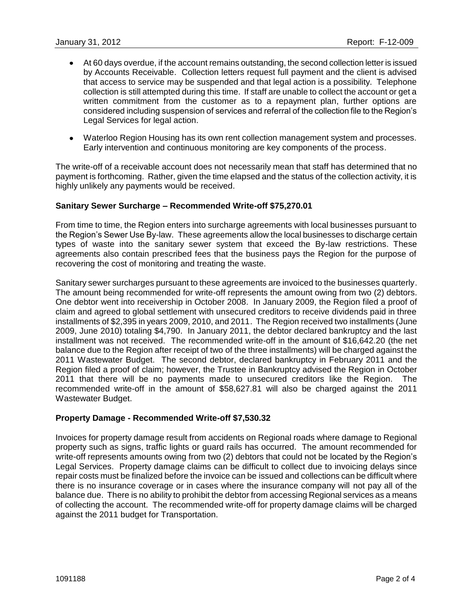- At 60 days overdue, if the account remains outstanding, the second collection letter is issued by Accounts Receivable. Collection letters request full payment and the client is advised that access to service may be suspended and that legal action is a possibility. Telephone collection is still attempted during this time. If staff are unable to collect the account or get a written commitment from the customer as to a repayment plan, further options are considered including suspension of services and referral of the collection file to the Region's Legal Services for legal action.
- Waterloo Region Housing has its own rent collection management system and processes. Early intervention and continuous monitoring are key components of the process.

The write-off of a receivable account does not necessarily mean that staff has determined that no payment is forthcoming. Rather, given the time elapsed and the status of the collection activity, it is highly unlikely any payments would be received.

#### **Sanitary Sewer Surcharge – Recommended Write-off \$75,270.01**

From time to time, the Region enters into surcharge agreements with local businesses pursuant to the Region's Sewer Use By-law. These agreements allow the local businesses to discharge certain types of waste into the sanitary sewer system that exceed the By-law restrictions. These agreements also contain prescribed fees that the business pays the Region for the purpose of recovering the cost of monitoring and treating the waste.

Sanitary sewer surcharges pursuant to these agreements are invoiced to the businesses quarterly. The amount being recommended for write-off represents the amount owing from two (2) debtors. One debtor went into receivership in October 2008. In January 2009, the Region filed a proof of claim and agreed to global settlement with unsecured creditors to receive dividends paid in three installments of \$2,395 in years 2009, 2010, and 2011. The Region received two installments (June 2009, June 2010) totaling \$4,790. In January 2011, the debtor declared bankruptcy and the last installment was not received. The recommended write-off in the amount of \$16,642.20 (the net balance due to the Region after receipt of two of the three installments) will be charged against the 2011 Wastewater Budget. The second debtor, declared bankruptcy in February 2011 and the Region filed a proof of claim; however, the Trustee in Bankruptcy advised the Region in October 2011 that there will be no payments made to unsecured creditors like the Region. The recommended write-off in the amount of \$58,627.81 will also be charged against the 2011 Wastewater Budget.

#### **Property Damage - Recommended Write-off \$7,530.32**

Invoices for property damage result from accidents on Regional roads where damage to Regional property such as signs, traffic lights or guard rails has occurred. The amount recommended for write-off represents amounts owing from two (2) debtors that could not be located by the Region's Legal Services. Property damage claims can be difficult to collect due to invoicing delays since repair costs must be finalized before the invoice can be issued and collections can be difficult where there is no insurance coverage or in cases where the insurance company will not pay all of the balance due. There is no ability to prohibit the debtor from accessing Regional services as a means of collecting the account. The recommended write-off for property damage claims will be charged against the 2011 budget for Transportation.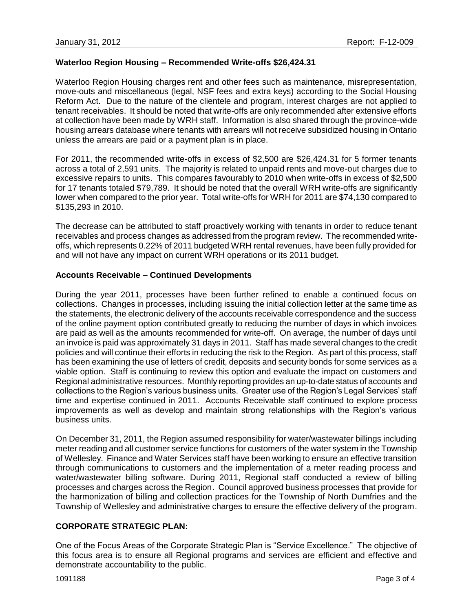### **Waterloo Region Housing – Recommended Write-offs \$26,424.31**

Waterloo Region Housing charges rent and other fees such as maintenance, misrepresentation, move-outs and miscellaneous (legal, NSF fees and extra keys) according to the Social Housing Reform Act. Due to the nature of the clientele and program, interest charges are not applied to tenant receivables. It should be noted that write-offs are only recommended after extensive efforts at collection have been made by WRH staff. Information is also shared through the province-wide housing arrears database where tenants with arrears will not receive subsidized housing in Ontario unless the arrears are paid or a payment plan is in place.

For 2011, the recommended write-offs in excess of \$2,500 are \$26,424.31 for 5 former tenants across a total of 2,591 units. The majority is related to unpaid rents and move-out charges due to excessive repairs to units. This compares favourably to 2010 when write-offs in excess of \$2,500 for 17 tenants totaled \$79,789. It should be noted that the overall WRH write-offs are significantly lower when compared to the prior year. Total write-offs for WRH for 2011 are \$74,130 compared to \$135,293 in 2010.

The decrease can be attributed to staff proactively working with tenants in order to reduce tenant receivables and process changes as addressed from the program review. The recommended writeoffs, which represents 0.22% of 2011 budgeted WRH rental revenues, have been fully provided for and will not have any impact on current WRH operations or its 2011 budget.

#### **Accounts Receivable – Continued Developments**

During the year 2011, processes have been further refined to enable a continued focus on collections. Changes in processes, including issuing the initial collection letter at the same time as the statements, the electronic delivery of the accounts receivable correspondence and the success of the online payment option contributed greatly to reducing the number of days in which invoices are paid as well as the amounts recommended for write-off. On average, the number of days until an invoice is paid was approximately 31 days in 2011. Staff has made several changes to the credit policies and will continue their efforts in reducing the risk to the Region. As part of this process, staff has been examining the use of letters of credit, deposits and security bonds for some services as a viable option. Staff is continuing to review this option and evaluate the impact on customers and Regional administrative resources. Monthly reporting provides an up-to-date status of accounts and collections to the Region's various business units. Greater use of the Region's Legal Services' staff time and expertise continued in 2011. Accounts Receivable staff continued to explore process improvements as well as develop and maintain strong relationships with the Region's various business units.

On December 31, 2011, the Region assumed responsibility for water/wastewater billings including meter reading and all customer service functions for customers of the water system in the Township of Wellesley. Finance and Water Services staff have been working to ensure an effective transition through communications to customers and the implementation of a meter reading process and water/wastewater billing software. During 2011, Regional staff conducted a review of billing processes and charges across the Region. Council approved business processes that provide for the harmonization of billing and collection practices for the Township of North Dumfries and the Township of Wellesley and administrative charges to ensure the effective delivery of the program.

#### **CORPORATE STRATEGIC PLAN:**

One of the Focus Areas of the Corporate Strategic Plan is "Service Excellence." The objective of this focus area is to ensure all Regional programs and services are efficient and effective and demonstrate accountability to the public.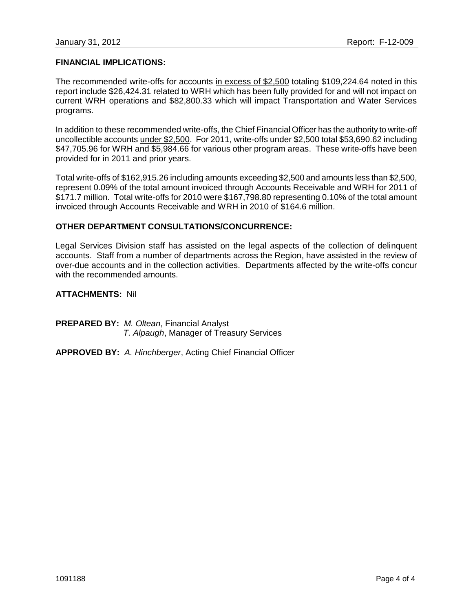#### **FINANCIAL IMPLICATIONS:**

The recommended write-offs for accounts in excess of \$2,500 totaling \$109,224.64 noted in this report include \$26,424.31 related to WRH which has been fully provided for and will not impact on current WRH operations and \$82,800.33 which will impact Transportation and Water Services programs.

In addition to these recommended write-offs, the Chief Financial Officer has the authority to write-off uncollectible accounts under \$2,500. For 2011, write-offs under \$2,500 total \$53,690.62 including \$47,705.96 for WRH and \$5,984.66 for various other program areas. These write-offs have been provided for in 2011 and prior years.

Total write-offs of \$162,915.26 including amounts exceeding \$2,500 and amounts less than \$2,500, represent 0.09% of the total amount invoiced through Accounts Receivable and WRH for 2011 of \$171.7 million. Total write-offs for 2010 were \$167,798.80 representing 0.10% of the total amount invoiced through Accounts Receivable and WRH in 2010 of \$164.6 million.

#### **OTHER DEPARTMENT CONSULTATIONS/CONCURRENCE:**

Legal Services Division staff has assisted on the legal aspects of the collection of delinquent accounts. Staff from a number of departments across the Region, have assisted in the review of over-due accounts and in the collection activities. Departments affected by the write-offs concur with the recommended amounts.

**ATTACHMENTS:** Nil

**PREPARED BY:** *M. Oltean*, Financial Analyst *T. Alpaugh*, Manager of Treasury Services

**APPROVED BY:** *A. Hinchberger*, Acting Chief Financial Officer